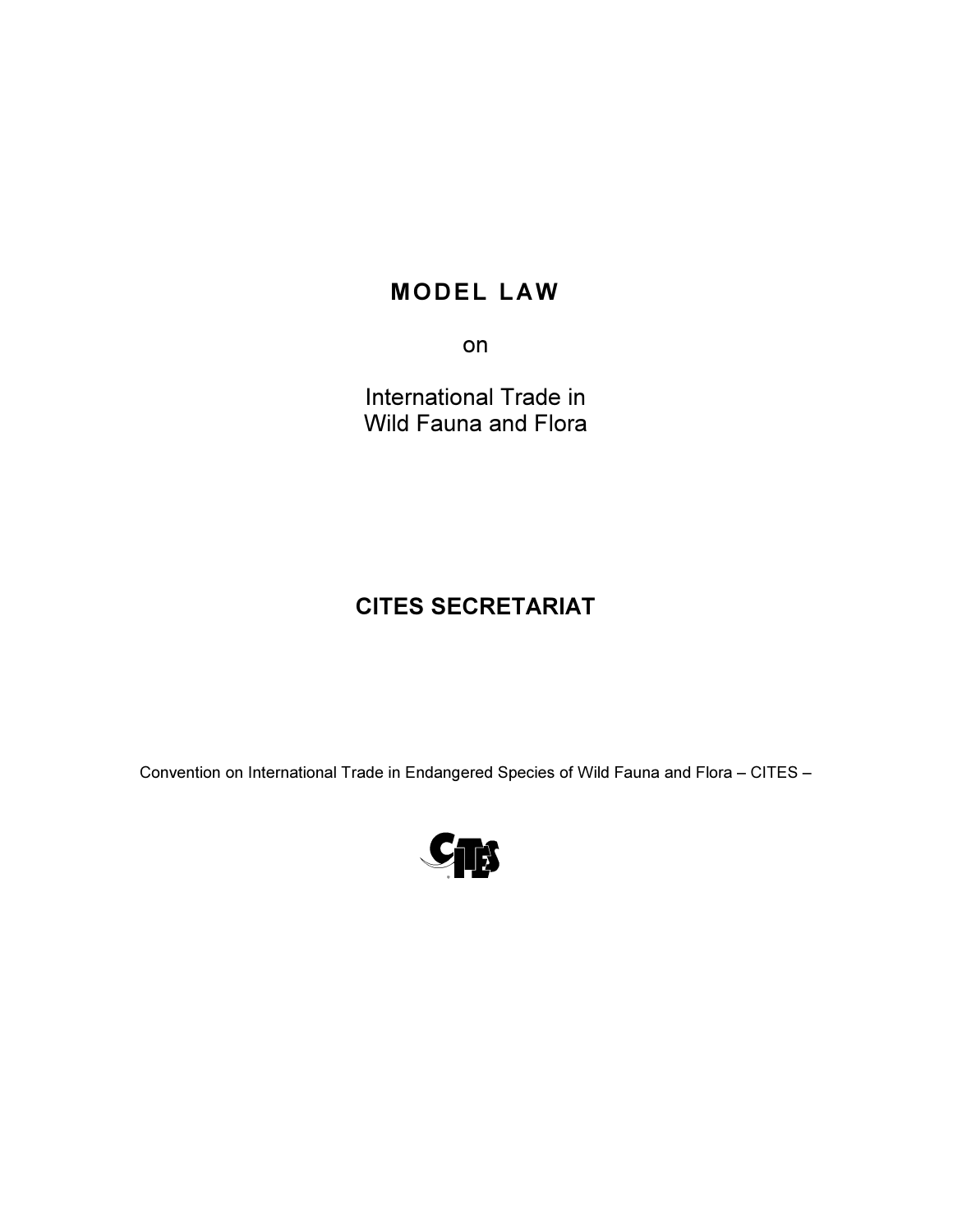# **MODEL LAW**

on

International Trade in Wild Fauna and Flora

# CITES SECRETARIAT

Convention on International Trade in Endangered Species of Wild Fauna and Flora – CITES –

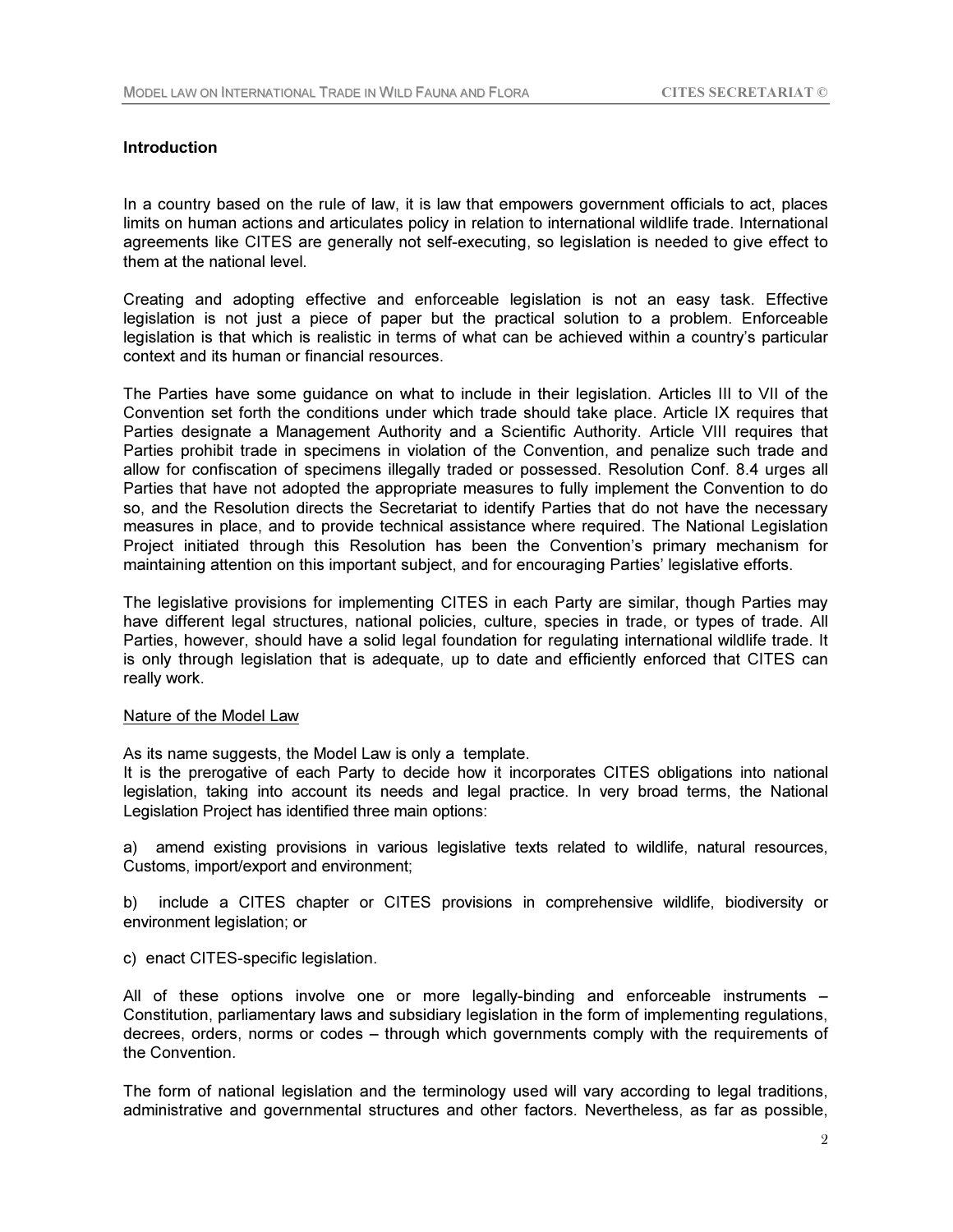### Introduction

In a country based on the rule of law, it is law that empowers government officials to act, places limits on human actions and articulates policy in relation to international wildlife trade. International agreements like CITES are generally not self-executing, so legislation is needed to give effect to them at the national level.

Creating and adopting effective and enforceable legislation is not an easy task. Effective legislation is not just a piece of paper but the practical solution to a problem. Enforceable legislation is that which is realistic in terms of what can be achieved within a country's particular context and its human or financial resources.

The Parties have some guidance on what to include in their legislation. Articles III to VII of the Convention set forth the conditions under which trade should take place. Article IX requires that Parties designate a Management Authority and a Scientific Authority. Article VIII requires that Parties prohibit trade in specimens in violation of the Convention, and penalize such trade and allow for confiscation of specimens illegally traded or possessed. Resolution Conf. 8.4 urges all Parties that have not adopted the appropriate measures to fully implement the Convention to do so, and the Resolution directs the Secretariat to identify Parties that do not have the necessary measures in place, and to provide technical assistance where required. The National Legislation Project initiated through this Resolution has been the Convention's primary mechanism for maintaining attention on this important subject, and for encouraging Parties' legislative efforts.

The legislative provisions for implementing CITES in each Party are similar, though Parties may have different legal structures, national policies, culture, species in trade, or types of trade. All Parties, however, should have a solid legal foundation for regulating international wildlife trade. It is only through legislation that is adequate, up to date and efficiently enforced that CITES can really work.

#### Nature of the Model Law

As its name suggests, the Model Law is only a template.

It is the prerogative of each Party to decide how it incorporates CITES obligations into national legislation, taking into account its needs and legal practice. In very broad terms, the National Legislation Project has identified three main options:

a) amend existing provisions in various legislative texts related to wildlife, natural resources, Customs, import/export and environment;

b) include a CITES chapter or CITES provisions in comprehensive wildlife, biodiversity or environment legislation; or

c) enact CITES-specific legislation.

All of these options involve one or more legally-binding and enforceable instruments – Constitution, parliamentary laws and subsidiary legislation in the form of implementing regulations, decrees, orders, norms or codes – through which governments comply with the requirements of the Convention.

The form of national legislation and the terminology used will vary according to legal traditions, administrative and governmental structures and other factors. Nevertheless, as far as possible,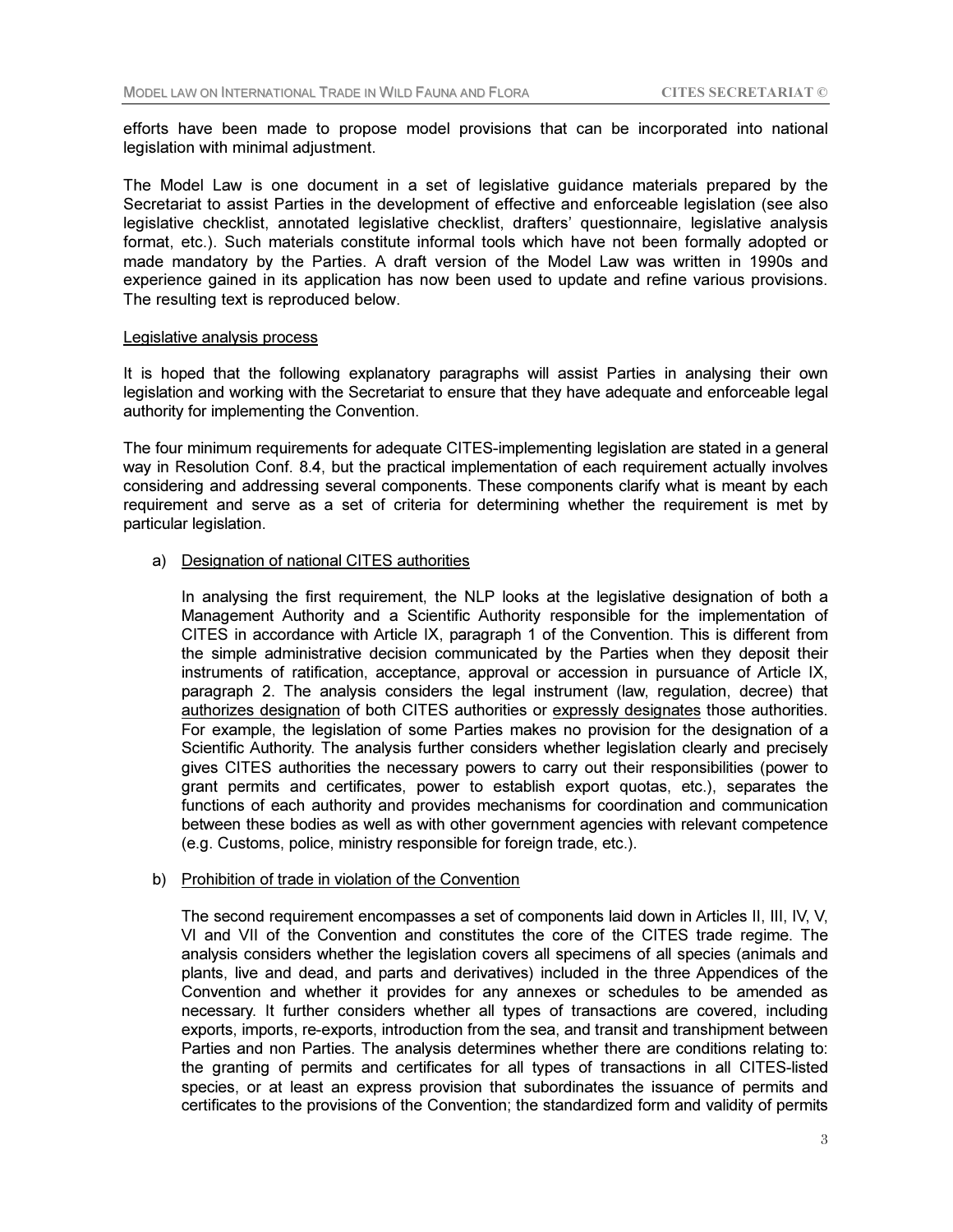efforts have been made to propose model provisions that can be incorporated into national legislation with minimal adjustment.

The Model Law is one document in a set of legislative guidance materials prepared by the Secretariat to assist Parties in the development of effective and enforceable legislation (see also legislative checklist, annotated legislative checklist, drafters' questionnaire, legislative analysis format, etc.). Such materials constitute informal tools which have not been formally adopted or made mandatory by the Parties. A draft version of the Model Law was written in 1990s and experience gained in its application has now been used to update and refine various provisions. The resulting text is reproduced below.

#### Legislative analysis process

It is hoped that the following explanatory paragraphs will assist Parties in analysing their own legislation and working with the Secretariat to ensure that they have adequate and enforceable legal authority for implementing the Convention.

The four minimum requirements for adequate CITES-implementing legislation are stated in a general way in Resolution Conf. 8.4, but the practical implementation of each requirement actually involves considering and addressing several components. These components clarify what is meant by each requirement and serve as a set of criteria for determining whether the requirement is met by particular legislation.

## a) Designation of national CITES authorities

 In analysing the first requirement, the NLP looks at the legislative designation of both a Management Authority and a Scientific Authority responsible for the implementation of CITES in accordance with Article IX, paragraph 1 of the Convention. This is different from the simple administrative decision communicated by the Parties when they deposit their instruments of ratification, acceptance, approval or accession in pursuance of Article IX, paragraph 2. The analysis considers the legal instrument (law, regulation, decree) that authorizes designation of both CITES authorities or expressly designates those authorities. For example, the legislation of some Parties makes no provision for the designation of a Scientific Authority. The analysis further considers whether legislation clearly and precisely gives CITES authorities the necessary powers to carry out their responsibilities (power to grant permits and certificates, power to establish export quotas, etc.), separates the functions of each authority and provides mechanisms for coordination and communication between these bodies as well as with other government agencies with relevant competence (e.g. Customs, police, ministry responsible for foreign trade, etc.).

#### b) Prohibition of trade in violation of the Convention

 The second requirement encompasses a set of components laid down in Articles II, III, IV, V, VI and VII of the Convention and constitutes the core of the CITES trade regime. The analysis considers whether the legislation covers all specimens of all species (animals and plants, live and dead, and parts and derivatives) included in the three Appendices of the Convention and whether it provides for any annexes or schedules to be amended as necessary. It further considers whether all types of transactions are covered, including exports, imports, re-exports, introduction from the sea, and transit and transhipment between Parties and non Parties. The analysis determines whether there are conditions relating to: the granting of permits and certificates for all types of transactions in all CITES-listed species, or at least an express provision that subordinates the issuance of permits and certificates to the provisions of the Convention; the standardized form and validity of permits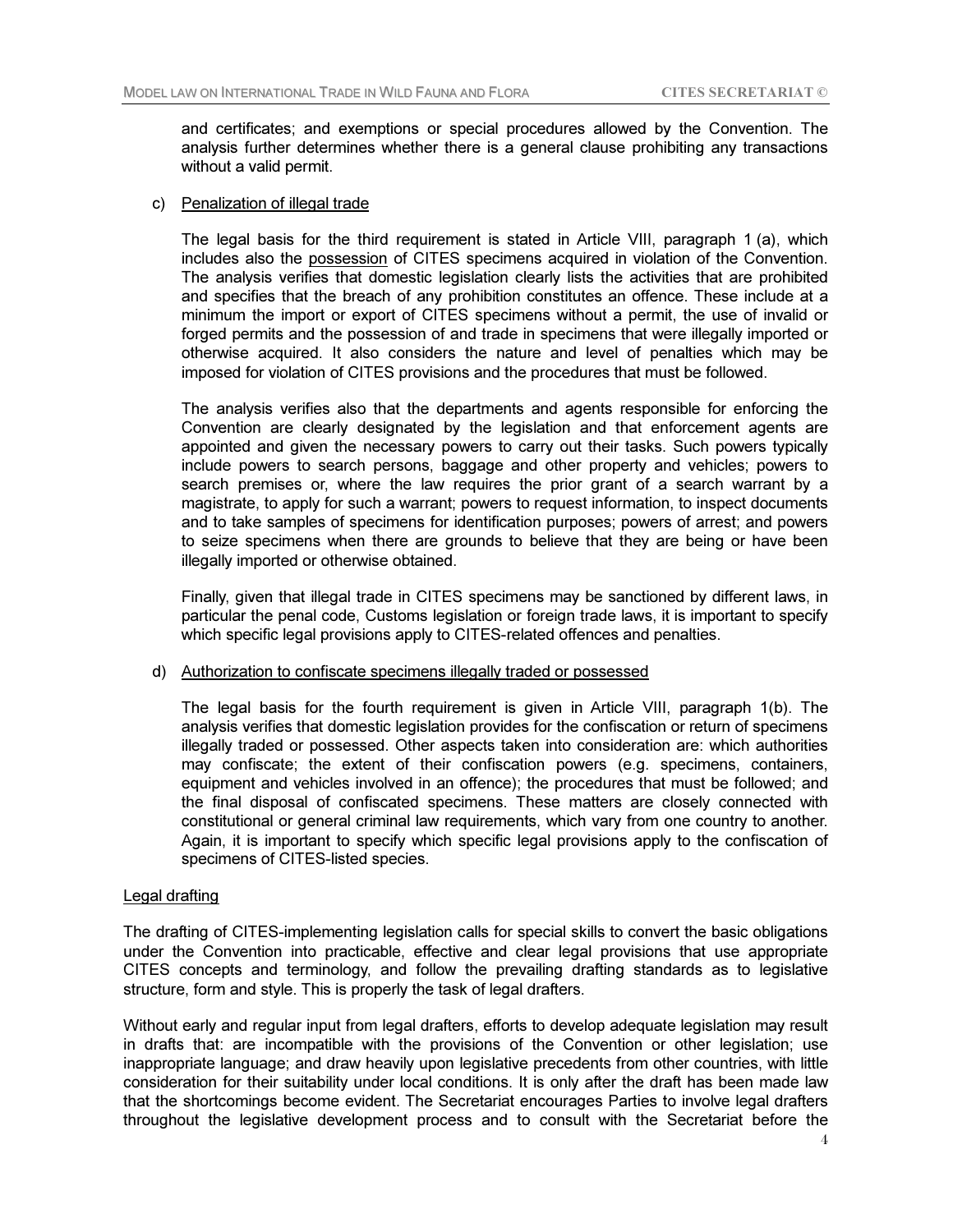and certificates; and exemptions or special procedures allowed by the Convention. The analysis further determines whether there is a general clause prohibiting any transactions without a valid permit.

#### c) Penalization of illegal trade

 The legal basis for the third requirement is stated in Article VIII, paragraph 1 (a), which includes also the possession of CITES specimens acquired in violation of the Convention. The analysis verifies that domestic legislation clearly lists the activities that are prohibited and specifies that the breach of any prohibition constitutes an offence. These include at a minimum the import or export of CITES specimens without a permit, the use of invalid or forged permits and the possession of and trade in specimens that were illegally imported or otherwise acquired. It also considers the nature and level of penalties which may be imposed for violation of CITES provisions and the procedures that must be followed.

 The analysis verifies also that the departments and agents responsible for enforcing the Convention are clearly designated by the legislation and that enforcement agents are appointed and given the necessary powers to carry out their tasks. Such powers typically include powers to search persons, baggage and other property and vehicles; powers to search premises or, where the law requires the prior grant of a search warrant by a magistrate, to apply for such a warrant; powers to request information, to inspect documents and to take samples of specimens for identification purposes; powers of arrest; and powers to seize specimens when there are grounds to believe that they are being or have been illegally imported or otherwise obtained.

 Finally, given that illegal trade in CITES specimens may be sanctioned by different laws, in particular the penal code, Customs legislation or foreign trade laws, it is important to specify which specific legal provisions apply to CITES-related offences and penalties.

#### d) Authorization to confiscate specimens illegally traded or possessed

 The legal basis for the fourth requirement is given in Article VIII, paragraph 1(b). The analysis verifies that domestic legislation provides for the confiscation or return of specimens illegally traded or possessed. Other aspects taken into consideration are: which authorities may confiscate; the extent of their confiscation powers (e.g. specimens, containers, equipment and vehicles involved in an offence); the procedures that must be followed; and the final disposal of confiscated specimens. These matters are closely connected with constitutional or general criminal law requirements, which vary from one country to another. Again, it is important to specify which specific legal provisions apply to the confiscation of specimens of CITES-listed species.

### Legal drafting

The drafting of CITES-implementing legislation calls for special skills to convert the basic obligations under the Convention into practicable, effective and clear legal provisions that use appropriate CITES concepts and terminology, and follow the prevailing drafting standards as to legislative structure, form and style. This is properly the task of legal drafters.

Without early and regular input from legal drafters, efforts to develop adequate legislation may result in drafts that: are incompatible with the provisions of the Convention or other legislation; use inappropriate language; and draw heavily upon legislative precedents from other countries, with little consideration for their suitability under local conditions. It is only after the draft has been made law that the shortcomings become evident. The Secretariat encourages Parties to involve legal drafters throughout the legislative development process and to consult with the Secretariat before the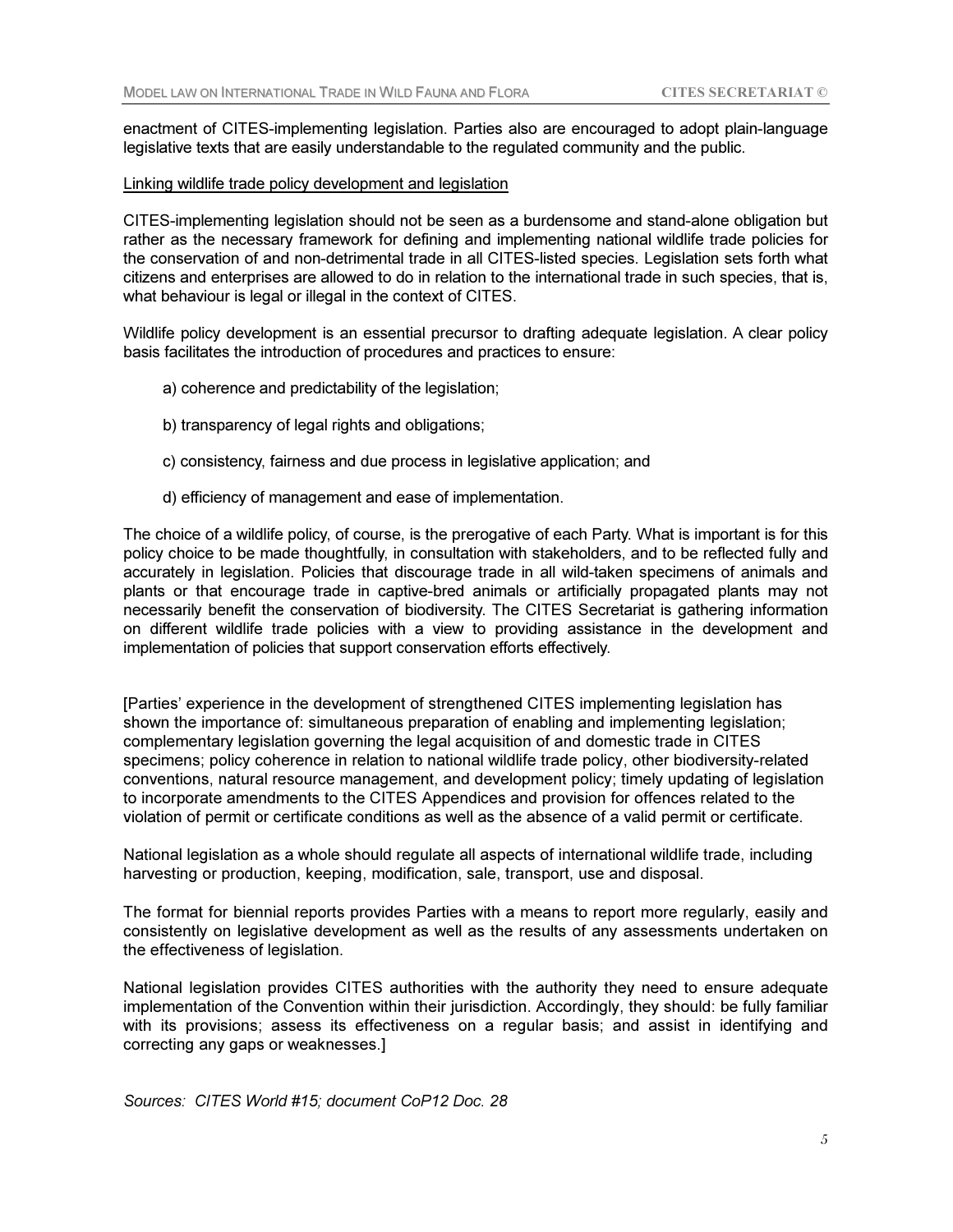enactment of CITES-implementing legislation. Parties also are encouraged to adopt plain-language legislative texts that are easily understandable to the regulated community and the public.

#### Linking wildlife trade policy development and legislation

CITES-implementing legislation should not be seen as a burdensome and stand-alone obligation but rather as the necessary framework for defining and implementing national wildlife trade policies for the conservation of and non-detrimental trade in all CITES-listed species. Legislation sets forth what citizens and enterprises are allowed to do in relation to the international trade in such species, that is, what behaviour is legal or illegal in the context of CITES.

Wildlife policy development is an essential precursor to drafting adequate legislation. A clear policy basis facilitates the introduction of procedures and practices to ensure:

- a) coherence and predictability of the legislation;
- b) transparency of legal rights and obligations;
- c) consistency, fairness and due process in legislative application; and
- d) efficiency of management and ease of implementation.

The choice of a wildlife policy, of course, is the prerogative of each Party. What is important is for this policy choice to be made thoughtfully, in consultation with stakeholders, and to be reflected fully and accurately in legislation. Policies that discourage trade in all wild-taken specimens of animals and plants or that encourage trade in captive-bred animals or artificially propagated plants may not necessarily benefit the conservation of biodiversity. The CITES Secretariat is gathering information on different wildlife trade policies with a view to providing assistance in the development and implementation of policies that support conservation efforts effectively.

[Parties' experience in the development of strengthened CITES implementing legislation has shown the importance of: simultaneous preparation of enabling and implementing legislation; complementary legislation governing the legal acquisition of and domestic trade in CITES specimens; policy coherence in relation to national wildlife trade policy, other biodiversity-related conventions, natural resource management, and development policy; timely updating of legislation to incorporate amendments to the CITES Appendices and provision for offences related to the violation of permit or certificate conditions as well as the absence of a valid permit or certificate.

National legislation as a whole should regulate all aspects of international wildlife trade, including harvesting or production, keeping, modification, sale, transport, use and disposal.

The format for biennial reports provides Parties with a means to report more regularly, easily and consistently on legislative development as well as the results of any assessments undertaken on the effectiveness of legislation.

National legislation provides CITES authorities with the authority they need to ensure adequate implementation of the Convention within their jurisdiction. Accordingly, they should: be fully familiar with its provisions; assess its effectiveness on a regular basis; and assist in identifying and correcting any gaps or weaknesses.]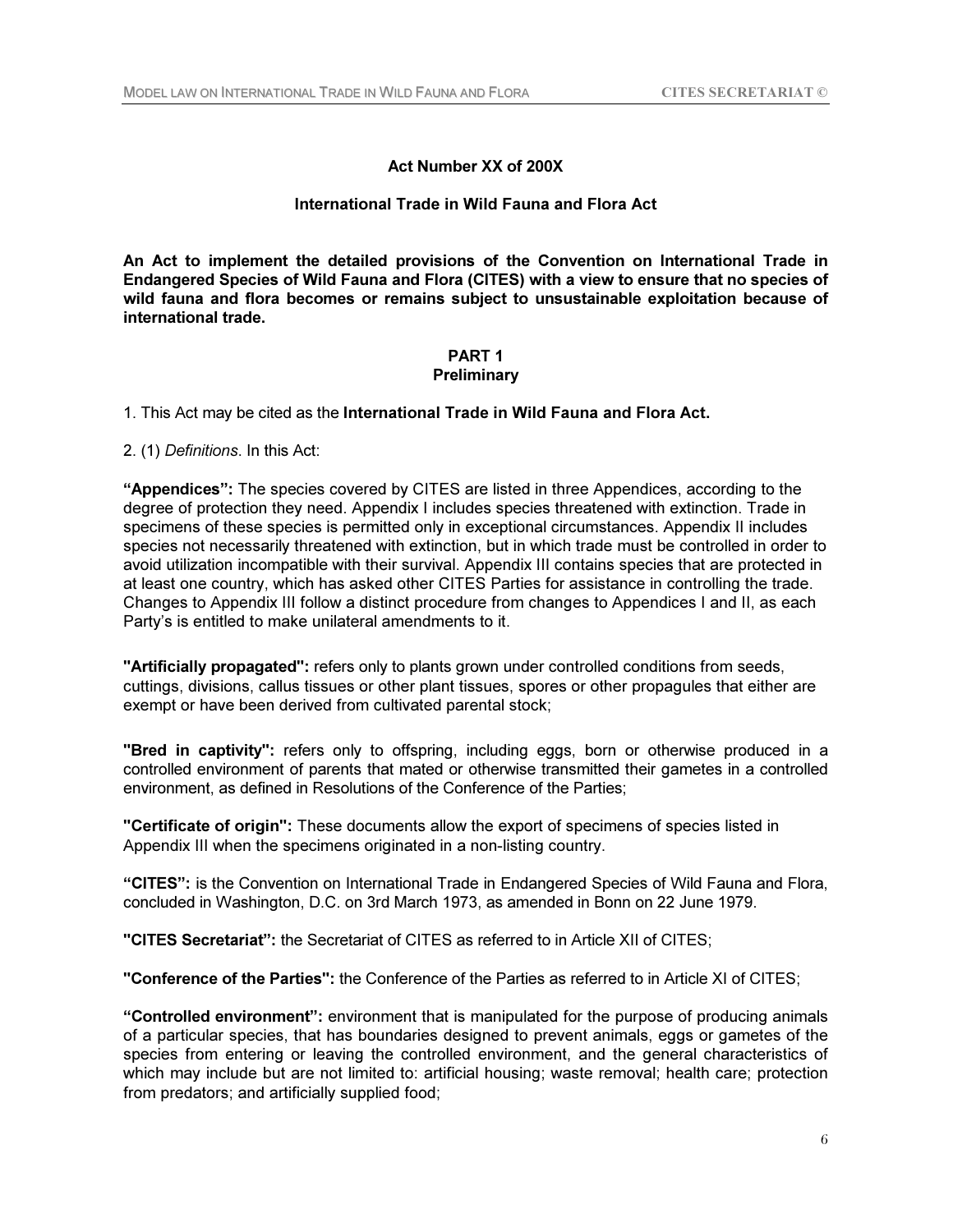# Act Number XX of 200X

# International Trade in Wild Fauna and Flora Act

An Act to implement the detailed provisions of the Convention on International Trade in Endangered Species of Wild Fauna and Flora (CITES) with a view to ensure that no species of wild fauna and flora becomes or remains subject to unsustainable exploitation because of international trade.

#### PART 1 **Preliminary**

1. This Act may be cited as the International Trade in Wild Fauna and Flora Act.

2. (1) *Definitions*. In this Act:

"Appendices": The species covered by CITES are listed in three Appendices, according to the degree of protection they need. Appendix I includes species threatened with extinction. Trade in specimens of these species is permitted only in exceptional circumstances. Appendix II includes species not necessarily threatened with extinction, but in which trade must be controlled in order to avoid utilization incompatible with their survival. Appendix III contains species that are protected in at least one country, which has asked other CITES Parties for assistance in controlling the trade. Changes to Appendix III follow a distinct procedure from changes to Appendices I and II, as each Party's is entitled to make unilateral amendments to it.

"Artificially propagated": refers only to plants grown under controlled conditions from seeds, cuttings, divisions, callus tissues or other plant tissues, spores or other propagules that either are exempt or have been derived from cultivated parental stock;

"Bred in captivity": refers only to offspring, including eggs, born or otherwise produced in a controlled environment of parents that mated or otherwise transmitted their gametes in a controlled environment, as defined in Resolutions of the Conference of the Parties;

"Certificate of origin": These documents allow the export of specimens of species listed in Appendix III when the specimens originated in a non-listing country.

"CITES": is the Convention on International Trade in Endangered Species of Wild Fauna and Flora, concluded in Washington, D.C. on 3rd March 1973, as amended in Bonn on 22 June 1979.

"CITES Secretariat": the Secretariat of CITES as referred to in Article XII of CITES;

"Conference of the Parties": the Conference of the Parties as referred to in Article XI of CITES;

"Controlled environment": environment that is manipulated for the purpose of producing animals of a particular species, that has boundaries designed to prevent animals, eggs or gametes of the species from entering or leaving the controlled environment, and the general characteristics of which may include but are not limited to: artificial housing; waste removal; health care; protection from predators; and artificially supplied food;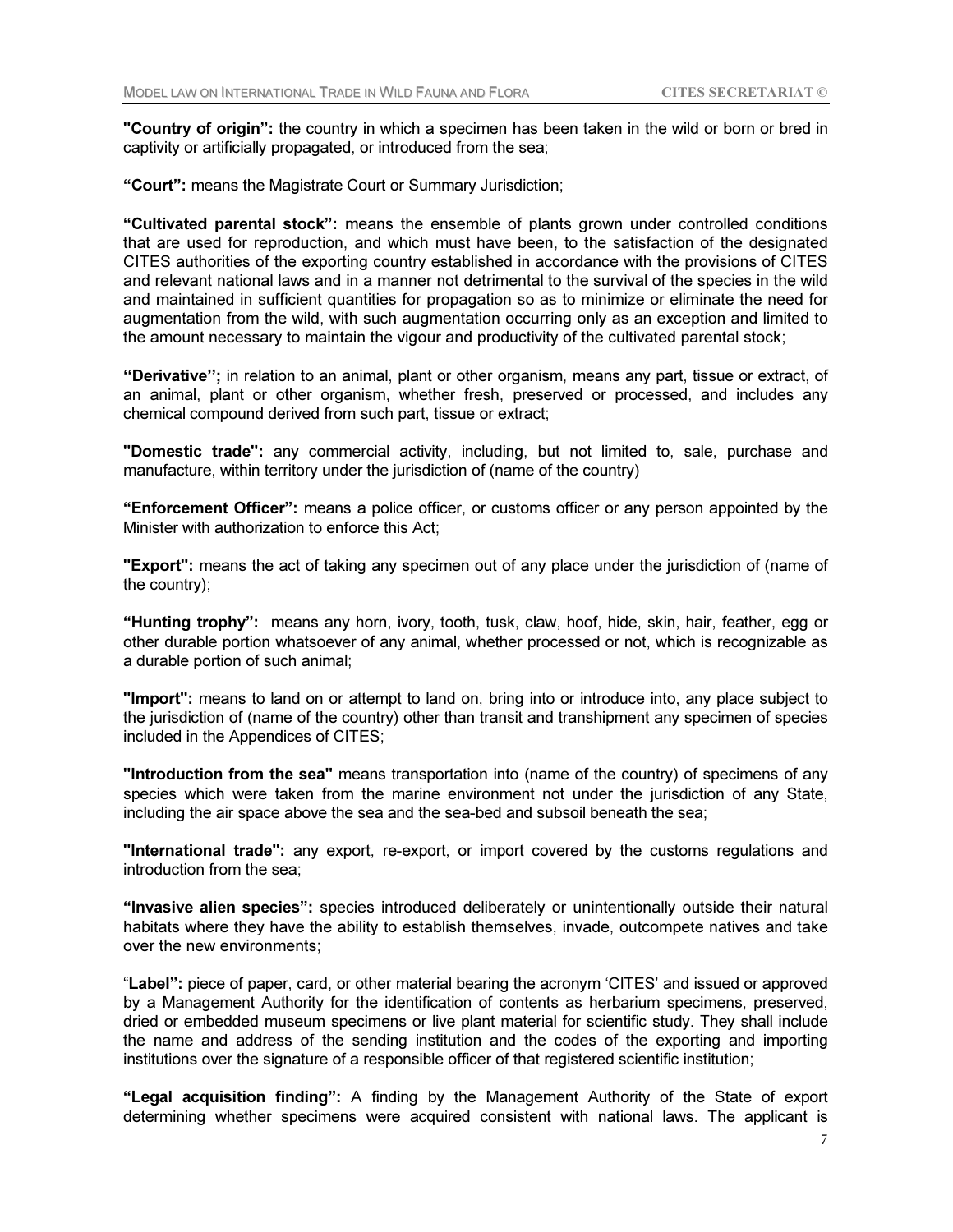"Country of origin": the country in which a specimen has been taken in the wild or born or bred in captivity or artificially propagated, or introduced from the sea;

"Court": means the Magistrate Court or Summary Jurisdiction;

"Cultivated parental stock": means the ensemble of plants grown under controlled conditions that are used for reproduction, and which must have been, to the satisfaction of the designated CITES authorities of the exporting country established in accordance with the provisions of CITES and relevant national laws and in a manner not detrimental to the survival of the species in the wild and maintained in sufficient quantities for propagation so as to minimize or eliminate the need for augmentation from the wild, with such augmentation occurring only as an exception and limited to the amount necessary to maintain the vigour and productivity of the cultivated parental stock;

"Derivative"; in relation to an animal, plant or other organism, means any part, tissue or extract, of an animal, plant or other organism, whether fresh, preserved or processed, and includes any chemical compound derived from such part, tissue or extract;

"Domestic trade": any commercial activity, including, but not limited to, sale, purchase and manufacture, within territory under the jurisdiction of (name of the country)

"Enforcement Officer": means a police officer, or customs officer or any person appointed by the Minister with authorization to enforce this Act;

"Export": means the act of taking any specimen out of any place under the jurisdiction of (name of the country);

"Hunting trophy": means any horn, ivory, tooth, tusk, claw, hoof, hide, skin, hair, feather, egg or other durable portion whatsoever of any animal, whether processed or not, which is recognizable as a durable portion of such animal;

"Import": means to land on or attempt to land on, bring into or introduce into, any place subject to the jurisdiction of (name of the country) other than transit and transhipment any specimen of species included in the Appendices of CITES;

"Introduction from the sea" means transportation into (name of the country) of specimens of any species which were taken from the marine environment not under the jurisdiction of any State, including the air space above the sea and the sea-bed and subsoil beneath the sea;

"International trade": any export, re-export, or import covered by the customs regulations and introduction from the sea;

"Invasive alien species": species introduced deliberately or unintentionally outside their natural habitats where they have the ability to establish themselves, invade, outcompete natives and take over the new environments;

"Label": piece of paper, card, or other material bearing the acronym 'CITES' and issued or approved by a Management Authority for the identification of contents as herbarium specimens, preserved, dried or embedded museum specimens or live plant material for scientific study. They shall include the name and address of the sending institution and the codes of the exporting and importing institutions over the signature of a responsible officer of that registered scientific institution;

"Legal acquisition finding": A finding by the Management Authority of the State of export determining whether specimens were acquired consistent with national laws. The applicant is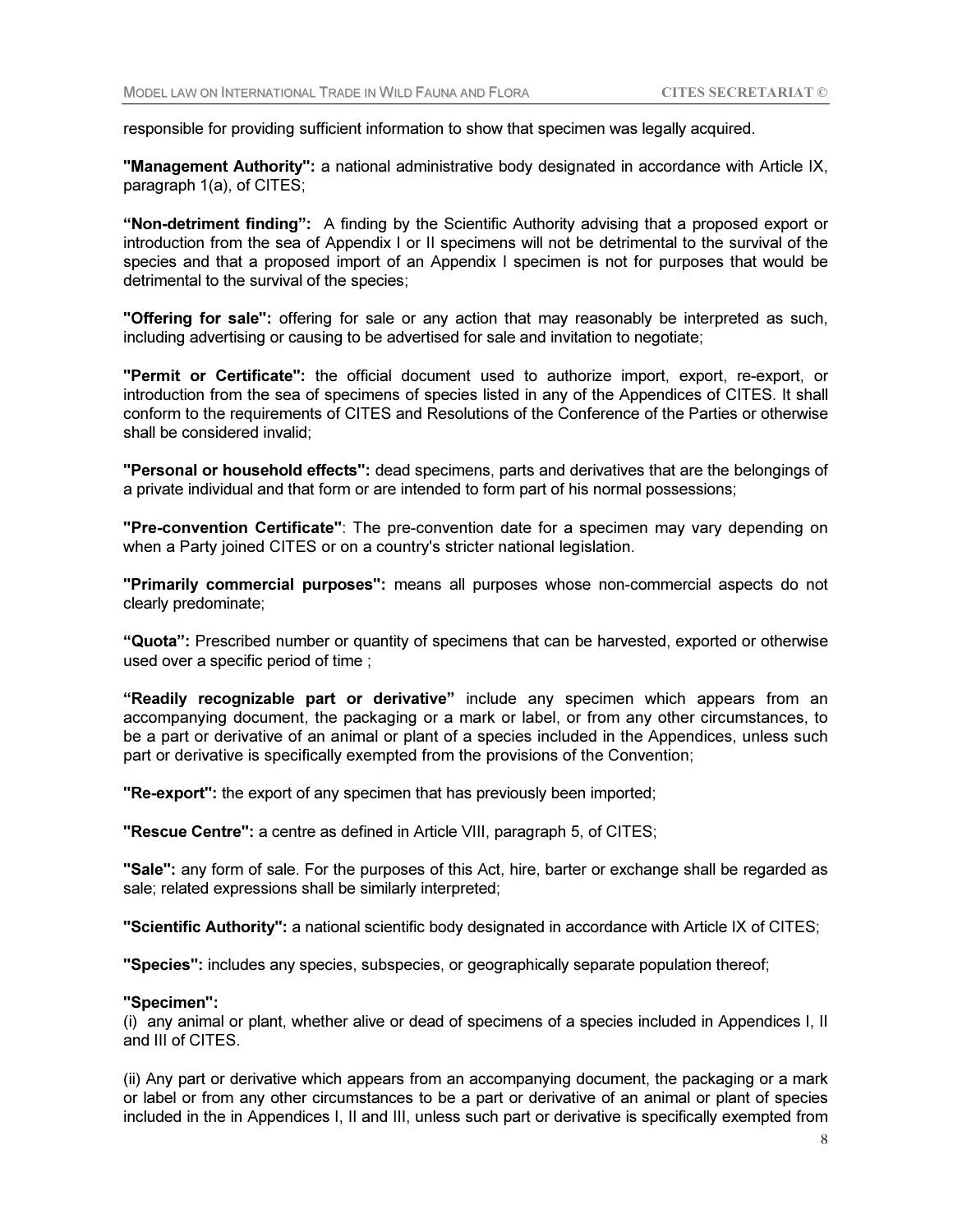responsible for providing sufficient information to show that specimen was legally acquired.

"Management Authority": a national administrative body designated in accordance with Article IX, paragraph 1(a), of CITES;

"Non-detriment finding": A finding by the Scientific Authority advising that a proposed export or introduction from the sea of Appendix I or II specimens will not be detrimental to the survival of the species and that a proposed import of an Appendix I specimen is not for purposes that would be detrimental to the survival of the species;

"Offering for sale": offering for sale or any action that may reasonably be interpreted as such, including advertising or causing to be advertised for sale and invitation to negotiate;

"Permit or Certificate": the official document used to authorize import, export, re-export, or introduction from the sea of specimens of species listed in any of the Appendices of CITES. It shall conform to the requirements of CITES and Resolutions of the Conference of the Parties or otherwise shall be considered invalid;

"Personal or household effects": dead specimens, parts and derivatives that are the belongings of a private individual and that form or are intended to form part of his normal possessions;

"Pre-convention Certificate": The pre-convention date for a specimen may vary depending on when a Party joined CITES or on a country's stricter national legislation.

"Primarily commercial purposes": means all purposes whose non-commercial aspects do not clearly predominate;

"Quota": Prescribed number or quantity of specimens that can be harvested, exported or otherwise used over a specific period of time ;

"Readily recognizable part or derivative" include any specimen which appears from an accompanying document, the packaging or a mark or label, or from any other circumstances, to be a part or derivative of an animal or plant of a species included in the Appendices, unless such part or derivative is specifically exempted from the provisions of the Convention;

"Re-export": the export of any specimen that has previously been imported;

"Rescue Centre": a centre as defined in Article VIII, paragraph 5, of CITES;

"Sale": any form of sale. For the purposes of this Act, hire, barter or exchange shall be regarded as sale; related expressions shall be similarly interpreted;

"Scientific Authority": a national scientific body designated in accordance with Article IX of CITES;

"Species": includes any species, subspecies, or geographically separate population thereof;

#### "Specimen":

(i) any animal or plant, whether alive or dead of specimens of a species included in Appendices I, II and III of CITES.

(ii) Any part or derivative which appears from an accompanying document, the packaging or a mark or label or from any other circumstances to be a part or derivative of an animal or plant of species included in the in Appendices I, II and III, unless such part or derivative is specifically exempted from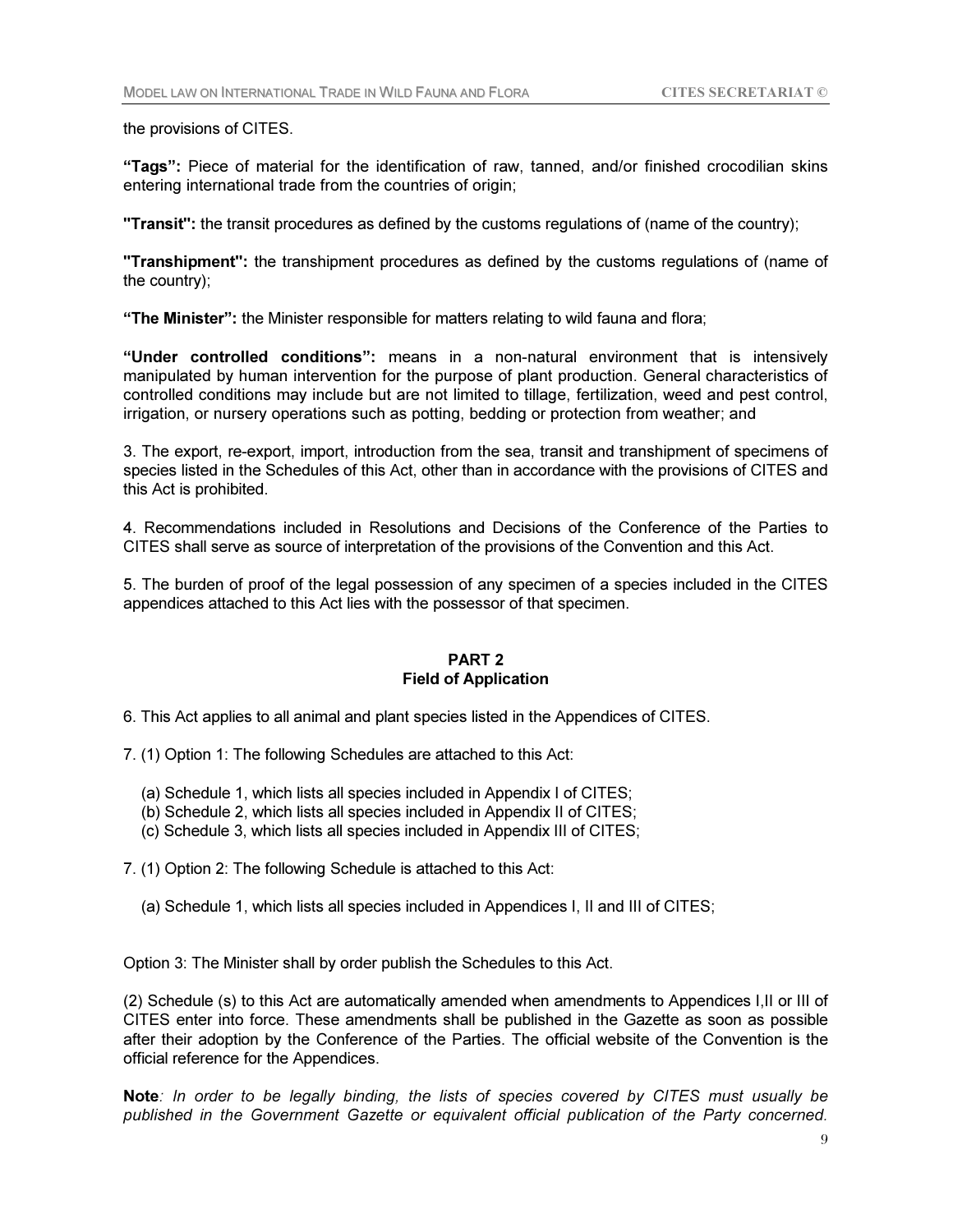the provisions of CITES.

"Tags": Piece of material for the identification of raw, tanned, and/or finished crocodilian skins entering international trade from the countries of origin;

"Transit": the transit procedures as defined by the customs regulations of (name of the country);

"Transhipment": the transhipment procedures as defined by the customs regulations of (name of the country);

"The Minister": the Minister responsible for matters relating to wild fauna and flora;

"Under controlled conditions": means in a non-natural environment that is intensively manipulated by human intervention for the purpose of plant production. General characteristics of controlled conditions may include but are not limited to tillage, fertilization, weed and pest control, irrigation, or nursery operations such as potting, bedding or protection from weather; and

3. The export, re-export, import, introduction from the sea, transit and transhipment of specimens of species listed in the Schedules of this Act, other than in accordance with the provisions of CITES and this Act is prohibited.

4. Recommendations included in Resolutions and Decisions of the Conference of the Parties to CITES shall serve as source of interpretation of the provisions of the Convention and this Act.

5. The burden of proof of the legal possession of any specimen of a species included in the CITES appendices attached to this Act lies with the possessor of that specimen.

# PART 2 Field of Application

6. This Act applies to all animal and plant species listed in the Appendices of CITES.

7. (1) Option 1: The following Schedules are attached to this Act:

- (a) Schedule 1, which lists all species included in Appendix I of CITES;
- (b) Schedule 2, which lists all species included in Appendix II of CITES;
- (c) Schedule 3, which lists all species included in Appendix III of CITES;

7. (1) Option 2: The following Schedule is attached to this Act:

(a) Schedule 1, which lists all species included in Appendices I, II and III of CITES;

Option 3: The Minister shall by order publish the Schedules to this Act.

(2) Schedule (s) to this Act are automatically amended when amendments to Appendices I,II or III of CITES enter into force. These amendments shall be published in the Gazette as soon as possible after their adoption by the Conference of the Parties. The official website of the Convention is the official reference for the Appendices.

Note*: In order to be legally binding, the lists of species covered by CITES must usually be published in the Government Gazette or equivalent official publication of the Party concerned.*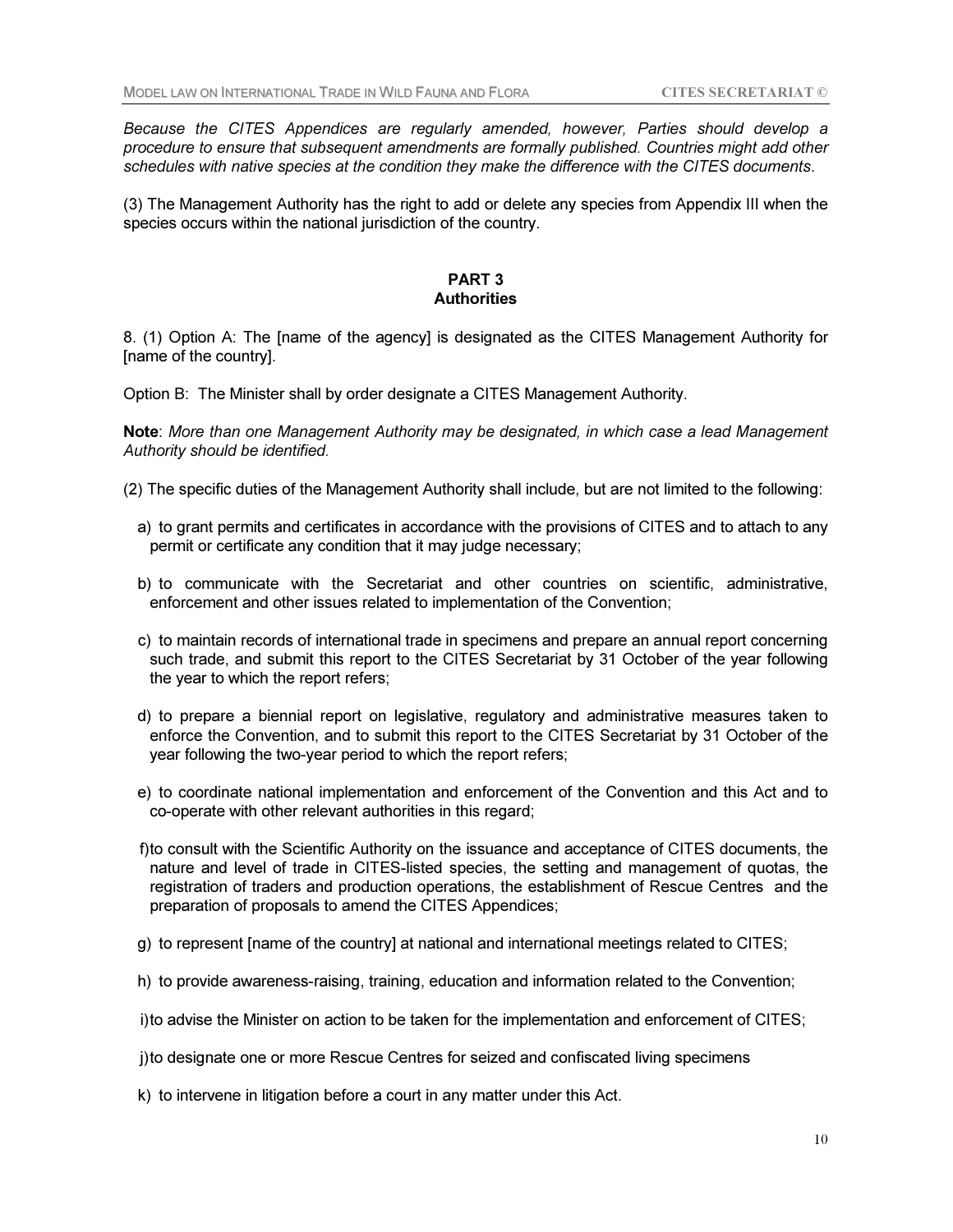*Because the CITES Appendices are regularly amended, however, Parties should develop a procedure to ensure that subsequent amendments are formally published. Countries might add other schedules with native species at the condition they make the difference with the CITES documents*.

(3) The Management Authority has the right to add or delete any species from Appendix III when the species occurs within the national jurisdiction of the country.

#### PART 3 **Authorities**

8. (1) Option A: The [name of the agency] is designated as the CITES Management Authority for [name of the country].

Option B: The Minister shall by order designate a CITES Management Authority.

Note: *More than one Management Authority may be designated, in which case a lead Management Authority should be identified.*

- (2) The specific duties of the Management Authority shall include, but are not limited to the following:
	- a) to grant permits and certificates in accordance with the provisions of CITES and to attach to any permit or certificate any condition that it may judge necessary;
	- b) to communicate with the Secretariat and other countries on scientific, administrative, enforcement and other issues related to implementation of the Convention;
	- c) to maintain records of international trade in specimens and prepare an annual report concerning such trade, and submit this report to the CITES Secretariat by 31 October of the year following the year to which the report refers;
	- d) to prepare a biennial report on legislative, regulatory and administrative measures taken to enforce the Convention, and to submit this report to the CITES Secretariat by 31 October of the year following the two-year period to which the report refers;
	- e) to coordinate national implementation and enforcement of the Convention and this Act and to co-operate with other relevant authorities in this regard;
	- f) to consult with the Scientific Authority on the issuance and acceptance of CITES documents, the nature and level of trade in CITES-listed species, the setting and management of quotas, the registration of traders and production operations, the establishment of Rescue Centres and the preparation of proposals to amend the CITES Appendices;
	- g) to represent [name of the country] at national and international meetings related to CITES;
	- h) to provide awareness-raising, training, education and information related to the Convention;

i) to advise the Minister on action to be taken for the implementation and enforcement of CITES;

- j) to designate one or more Rescue Centres for seized and confiscated living specimens
- k) to intervene in litigation before a court in any matter under this Act.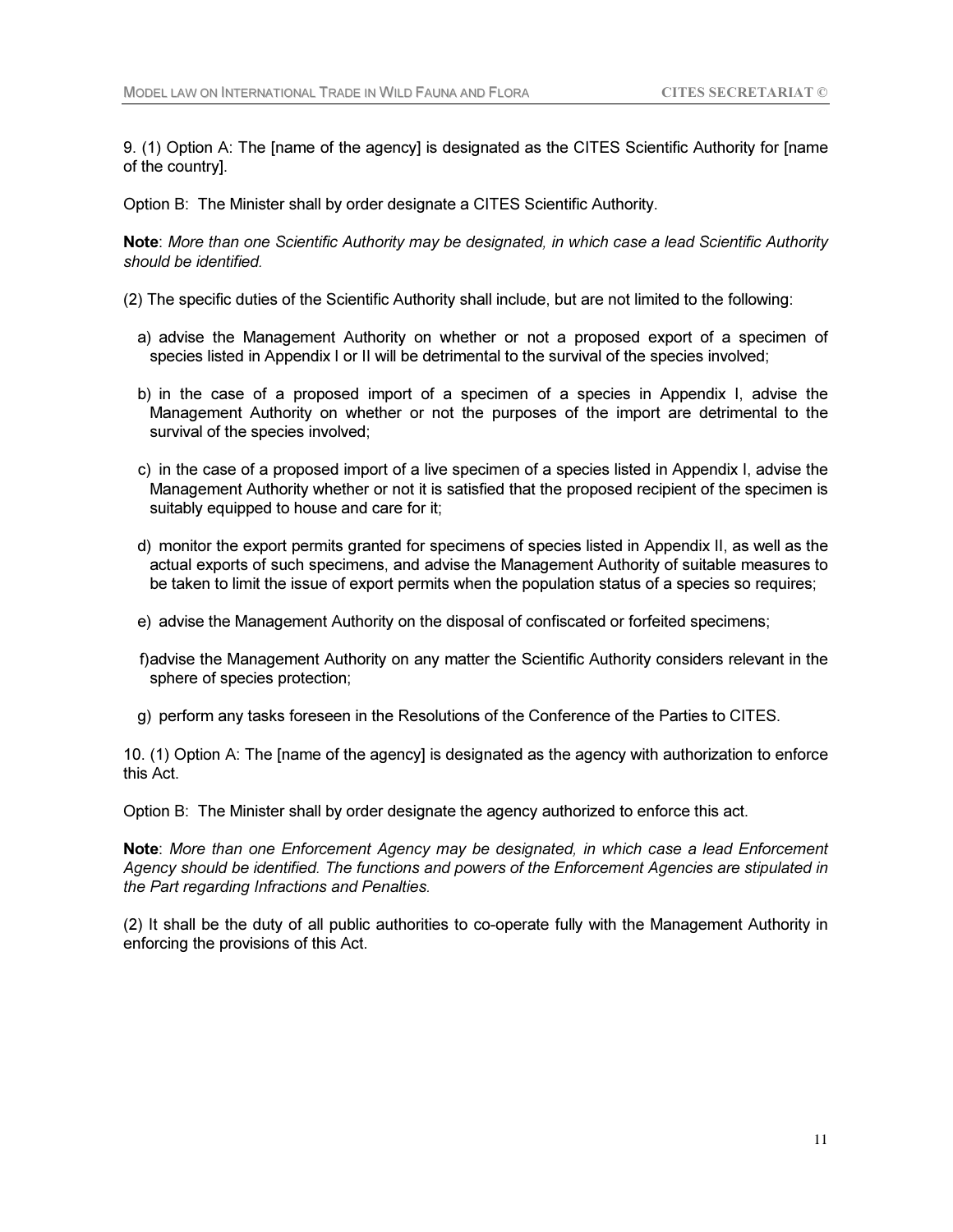9. (1) Option A: The [name of the agency] is designated as the CITES Scientific Authority for [name of the country].

Option B: The Minister shall by order designate a CITES Scientific Authority.

Note: *More than one Scientific Authority may be designated, in which case a lead Scientific Authority should be identified.*

- (2) The specific duties of the Scientific Authority shall include, but are not limited to the following:
	- a) advise the Management Authority on whether or not a proposed export of a specimen of species listed in Appendix I or II will be detrimental to the survival of the species involved;
	- b) in the case of a proposed import of a specimen of a species in Appendix I, advise the Management Authority on whether or not the purposes of the import are detrimental to the survival of the species involved;
	- c) in the case of a proposed import of a live specimen of a species listed in Appendix I, advise the Management Authority whether or not it is satisfied that the proposed recipient of the specimen is suitably equipped to house and care for it;
	- d) monitor the export permits granted for specimens of species listed in Appendix II, as well as the actual exports of such specimens, and advise the Management Authority of suitable measures to be taken to limit the issue of export permits when the population status of a species so requires;
	- e) advise the Management Authority on the disposal of confiscated or forfeited specimens;
	- f) advise the Management Authority on any matter the Scientific Authority considers relevant in the sphere of species protection;
	- g) perform any tasks foreseen in the Resolutions of the Conference of the Parties to CITES.

10. (1) Option A: The [name of the agency] is designated as the agency with authorization to enforce this Act.

Option B: The Minister shall by order designate the agency authorized to enforce this act.

Note: *More than one Enforcement Agency may be designated, in which case a lead Enforcement Agency should be identified. The functions and powers of the Enforcement Agencies are stipulated in the Part regarding Infractions and Penalties.* 

(2) It shall be the duty of all public authorities to co-operate fully with the Management Authority in enforcing the provisions of this Act.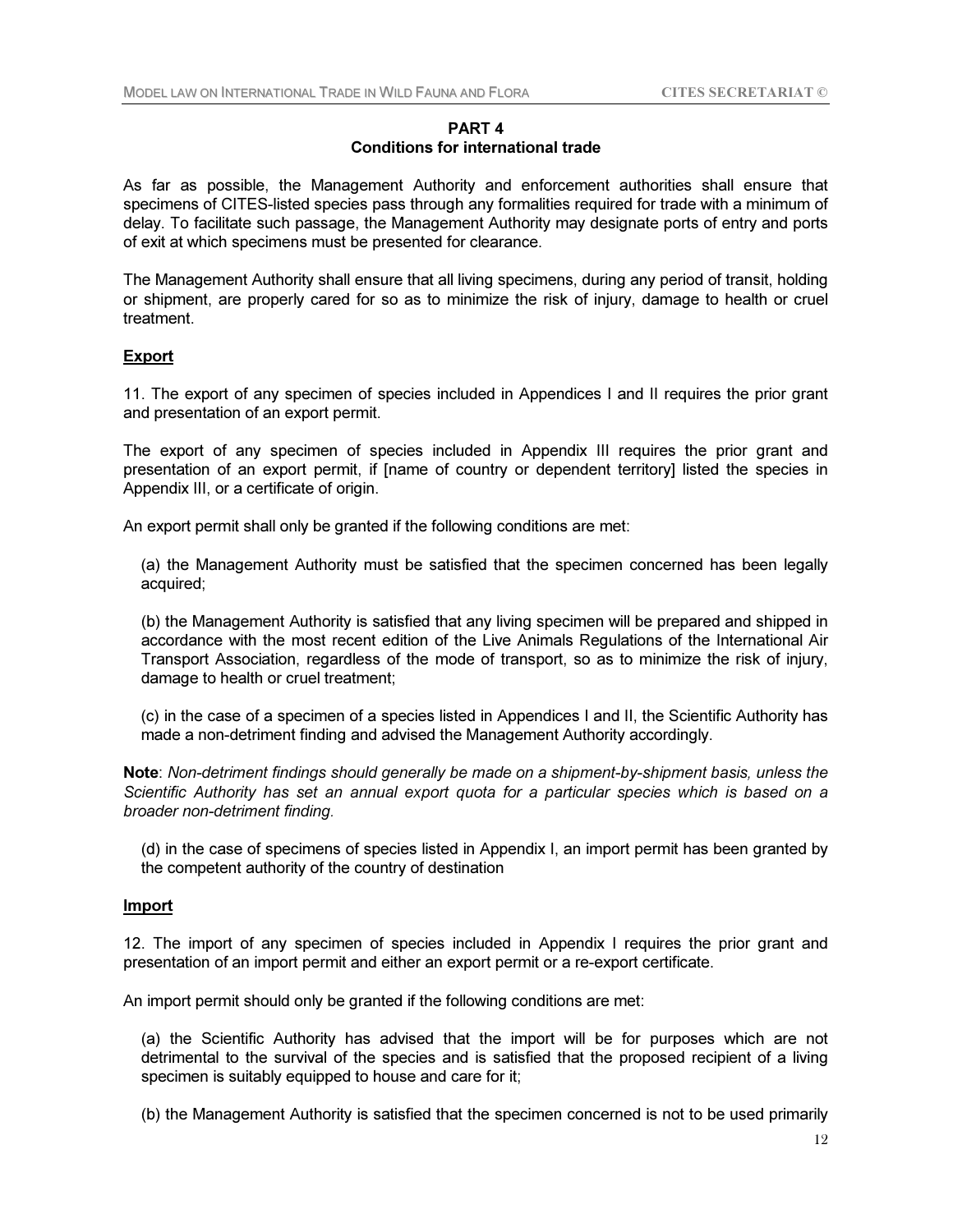## PART 4 Conditions for international trade

As far as possible, the Management Authority and enforcement authorities shall ensure that specimens of CITES-listed species pass through any formalities required for trade with a minimum of delay. To facilitate such passage, the Management Authority may designate ports of entry and ports of exit at which specimens must be presented for clearance.

The Management Authority shall ensure that all living specimens, during any period of transit, holding or shipment, are properly cared for so as to minimize the risk of injury, damage to health or cruel treatment.

## Export

11. The export of any specimen of species included in Appendices I and II requires the prior grant and presentation of an export permit.

The export of any specimen of species included in Appendix III requires the prior grant and presentation of an export permit, if [name of country or dependent territory] listed the species in Appendix III, or a certificate of origin.

An export permit shall only be granted if the following conditions are met:

(a) the Management Authority must be satisfied that the specimen concerned has been legally acquired;

 (b) the Management Authority is satisfied that any living specimen will be prepared and shipped in accordance with the most recent edition of the Live Animals Regulations of the International Air Transport Association, regardless of the mode of transport, so as to minimize the risk of injury, damage to health or cruel treatment;

(c) in the case of a specimen of a species listed in Appendices I and II, the Scientific Authority has made a non-detriment finding and advised the Management Authority accordingly.

Note: *Non-detriment findings should generally be made on a shipment-by-shipment basis, unless the Scientific Authority has set an annual export quota for a particular species which is based on a broader non-detriment finding.*

 (d) in the case of specimens of species listed in Appendix I, an import permit has been granted by the competent authority of the country of destination

### Import

12. The import of any specimen of species included in Appendix I requires the prior grant and presentation of an import permit and either an export permit or a re-export certificate.

An import permit should only be granted if the following conditions are met:

 (a) the Scientific Authority has advised that the import will be for purposes which are not detrimental to the survival of the species and is satisfied that the proposed recipient of a living specimen is suitably equipped to house and care for it;

(b) the Management Authority is satisfied that the specimen concerned is not to be used primarily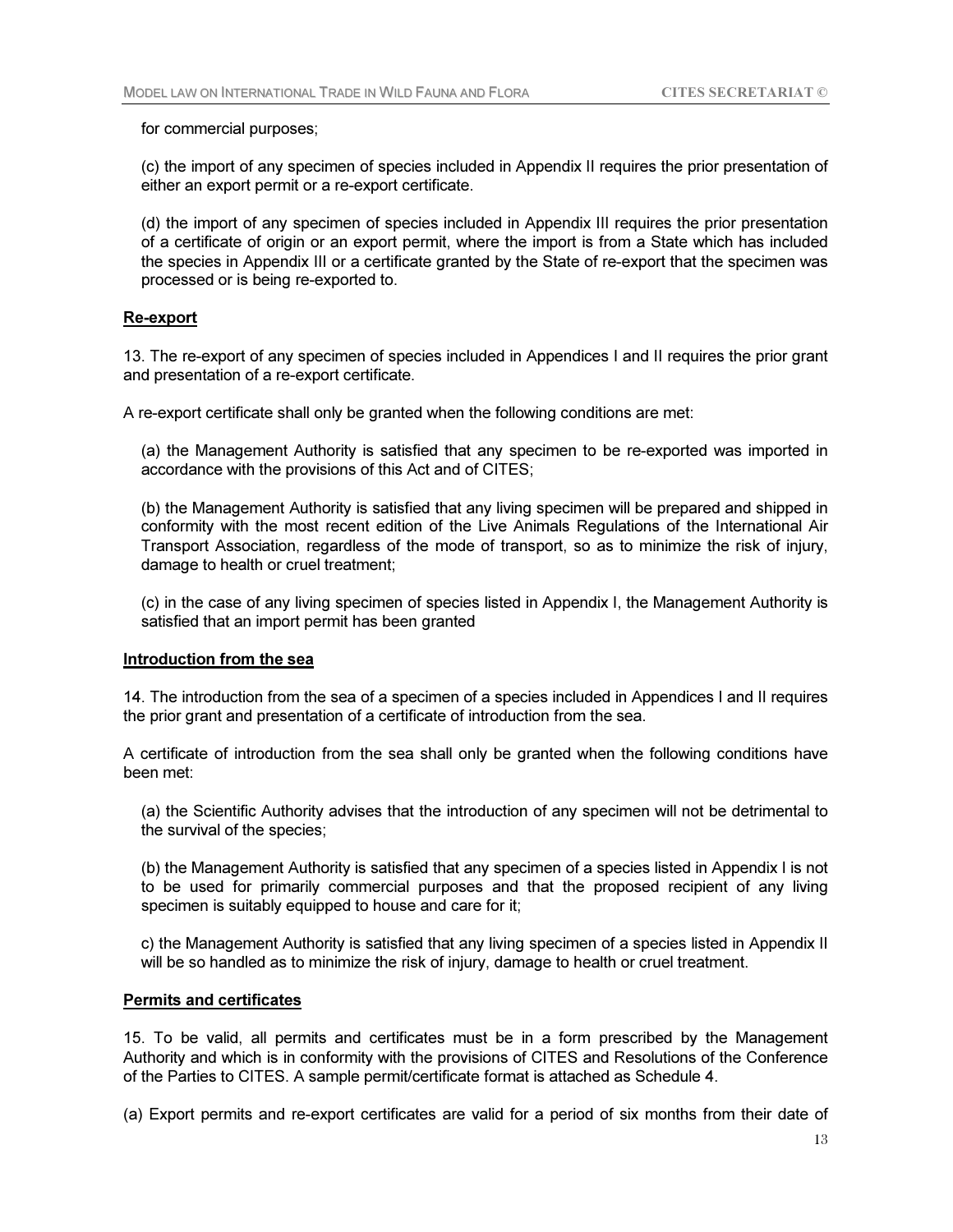for commercial purposes;

 (c) the import of any specimen of species included in Appendix II requires the prior presentation of either an export permit or a re-export certificate.

 (d) the import of any specimen of species included in Appendix III requires the prior presentation of a certificate of origin or an export permit, where the import is from a State which has included the species in Appendix III or a certificate granted by the State of re-export that the specimen was processed or is being re-exported to.

## Re-export

13. The re-export of any specimen of species included in Appendices I and II requires the prior grant and presentation of a re-export certificate.

A re-export certificate shall only be granted when the following conditions are met:

 (a) the Management Authority is satisfied that any specimen to be re-exported was imported in accordance with the provisions of this Act and of CITES;

 (b) the Management Authority is satisfied that any living specimen will be prepared and shipped in conformity with the most recent edition of the Live Animals Regulations of the International Air Transport Association, regardless of the mode of transport, so as to minimize the risk of injury, damage to health or cruel treatment;

 (c) in the case of any living specimen of species listed in Appendix I, the Management Authority is satisfied that an import permit has been granted

#### Introduction from the sea

14. The introduction from the sea of a specimen of a species included in Appendices I and II requires the prior grant and presentation of a certificate of introduction from the sea.

A certificate of introduction from the sea shall only be granted when the following conditions have been met:

 (a) the Scientific Authority advises that the introduction of any specimen will not be detrimental to the survival of the species;

 (b) the Management Authority is satisfied that any specimen of a species listed in Appendix I is not to be used for primarily commercial purposes and that the proposed recipient of any living specimen is suitably equipped to house and care for it;

 c) the Management Authority is satisfied that any living specimen of a species listed in Appendix II will be so handled as to minimize the risk of injury, damage to health or cruel treatment.

# Permits and certificates

15. To be valid, all permits and certificates must be in a form prescribed by the Management Authority and which is in conformity with the provisions of CITES and Resolutions of the Conference of the Parties to CITES. A sample permit/certificate format is attached as Schedule 4.

(a) Export permits and re-export certificates are valid for a period of six months from their date of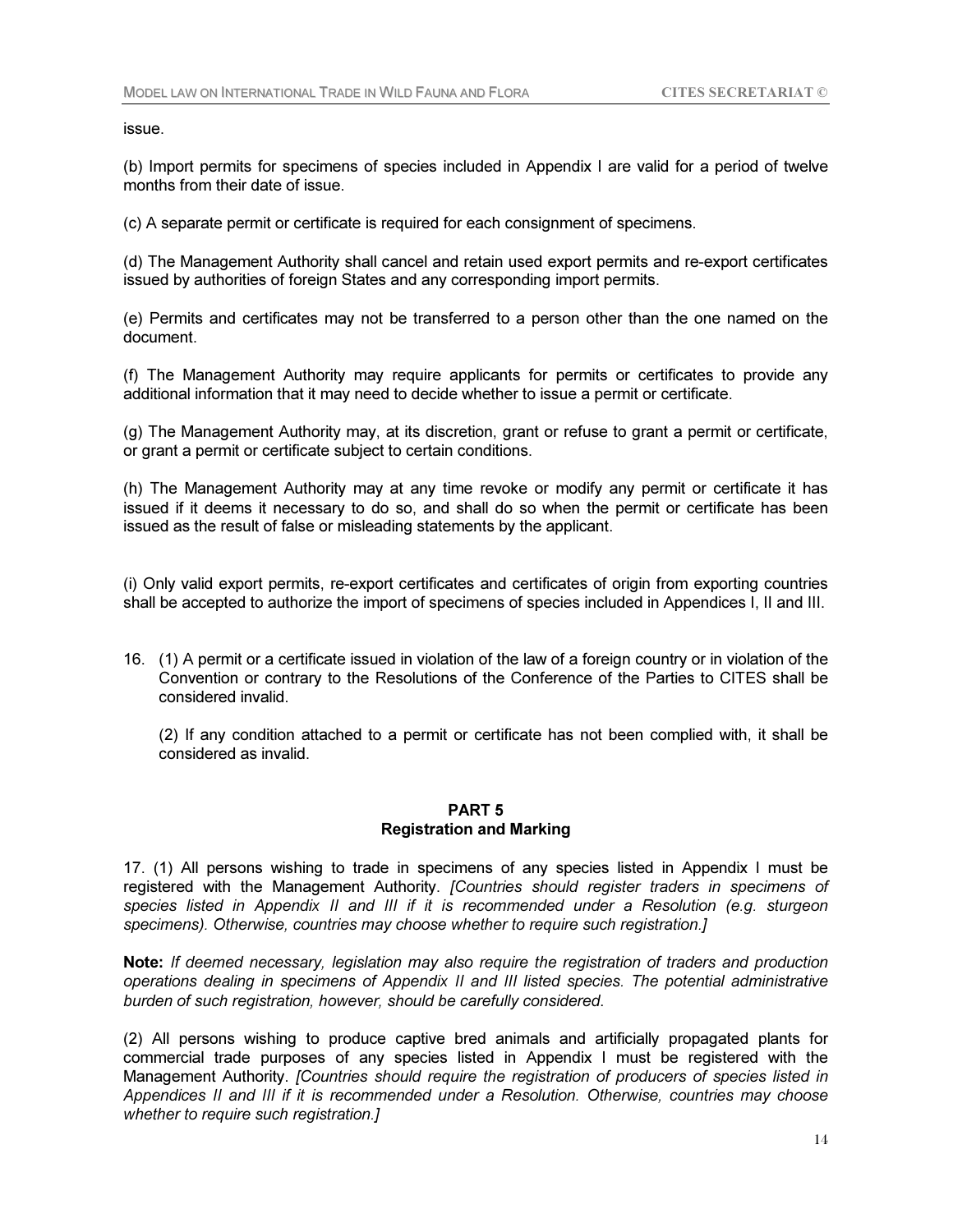issue.

(b) Import permits for specimens of species included in Appendix I are valid for a period of twelve months from their date of issue.

(c) A separate permit or certificate is required for each consignment of specimens.

(d) The Management Authority shall cancel and retain used export permits and re-export certificates issued by authorities of foreign States and any corresponding import permits.

(e) Permits and certificates may not be transferred to a person other than the one named on the document.

(f) The Management Authority may require applicants for permits or certificates to provide any additional information that it may need to decide whether to issue a permit or certificate.

(g) The Management Authority may, at its discretion, grant or refuse to grant a permit or certificate, or grant a permit or certificate subject to certain conditions.

(h) The Management Authority may at any time revoke or modify any permit or certificate it has issued if it deems it necessary to do so, and shall do so when the permit or certificate has been issued as the result of false or misleading statements by the applicant.

(i) Only valid export permits, re-export certificates and certificates of origin from exporting countries shall be accepted to authorize the import of specimens of species included in Appendices I, II and III.

16. (1) A permit or a certificate issued in violation of the law of a foreign country or in violation of the Convention or contrary to the Resolutions of the Conference of the Parties to CITES shall be considered invalid.

(2) If any condition attached to a permit or certificate has not been complied with, it shall be considered as invalid.

#### PART 5 Registration and Marking

17. (1) All persons wishing to trade in specimens of any species listed in Appendix I must be registered with the Management Authority. *[Countries should register traders in specimens of species listed in Appendix II and III if it is recommended under a Resolution (e.g. sturgeon* 

*specimens). Otherwise, countries may choose whether to require such registration.]*

Note: *If deemed necessary, legislation may also require the registration of traders and production operations dealing in specimens of Appendix II and III listed species. The potential administrative burden of such registration, however, should be carefully considered*.

(2) All persons wishing to produce captive bred animals and artificially propagated plants for commercial trade purposes of any species listed in Appendix I must be registered with the Management Authority. *[Countries should require the registration of producers of species listed in Appendices II and III if it is recommended under a Resolution. Otherwise, countries may choose whether to require such registration.]*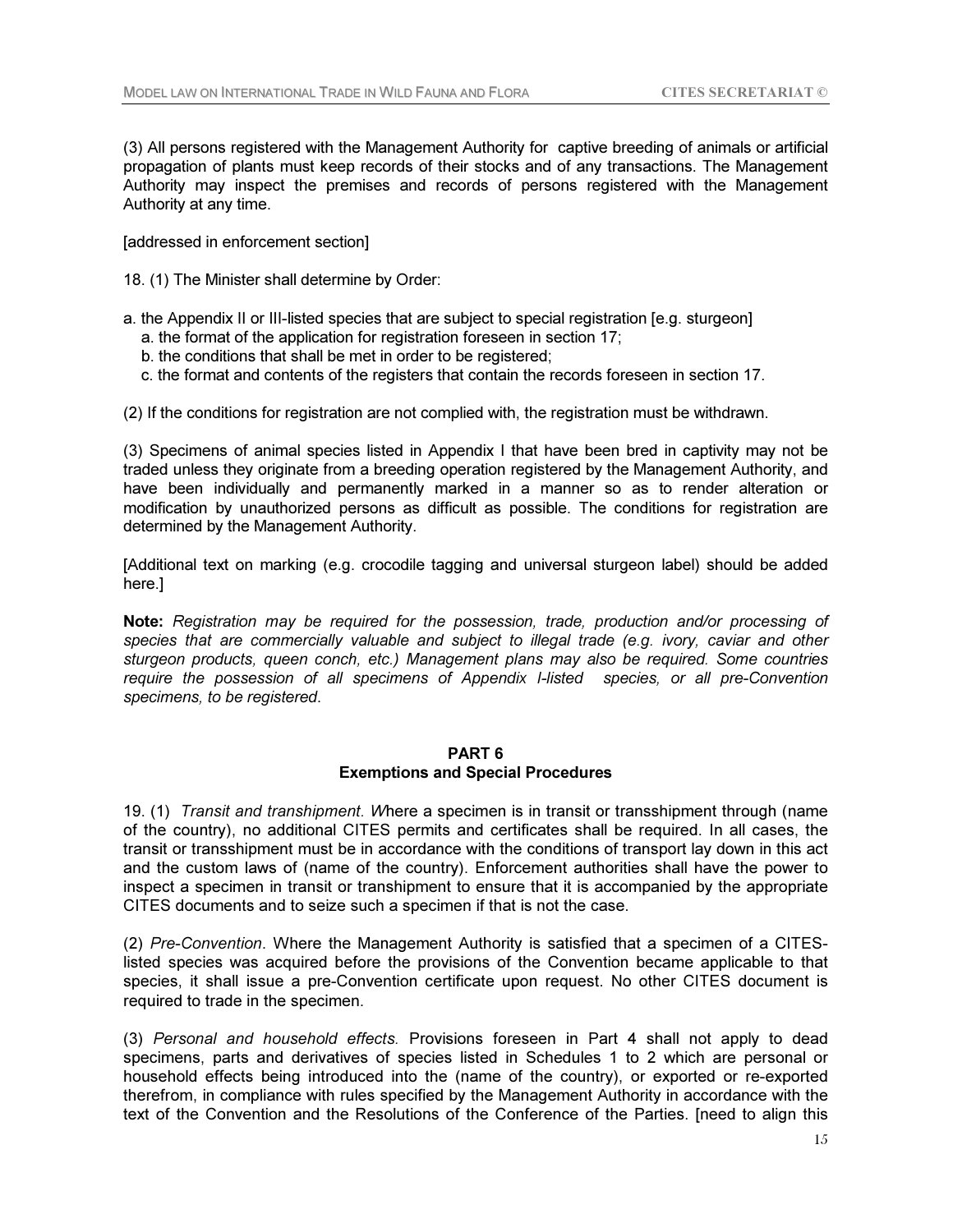(3) All persons registered with the Management Authority for captive breeding of animals or artificial propagation of plants must keep records of their stocks and of any transactions. The Management Authority may inspect the premises and records of persons registered with the Management Authority at any time.

[addressed in enforcement section]

- 18. (1) The Minister shall determine by Order:
- a. the Appendix II or III-listed species that are subject to special registration [e.g. sturgeon]
	- a. the format of the application for registration foreseen in section 17;
	- b. the conditions that shall be met in order to be registered;
	- c. the format and contents of the registers that contain the records foreseen in section 17.

(2) If the conditions for registration are not complied with, the registration must be withdrawn.

(3) Specimens of animal species listed in Appendix I that have been bred in captivity may not be traded unless they originate from a breeding operation registered by the Management Authority, and have been individually and permanently marked in a manner so as to render alteration or modification by unauthorized persons as difficult as possible. The conditions for registration are determined by the Management Authority.

[Additional text on marking (e.g. crocodile tagging and universal sturgeon label) should be added here.]

Note: *Registration may be required for the possession, trade, production and/or processing of species that are commercially valuable and subject to illegal trade (e.g. ivory, caviar and other sturgeon products, queen conch, etc.) Management plans may also be required. Some countries require the possession of all specimens of Appendix I-listed species, or all pre-Convention specimens, to be registered*.

#### PART 6

## Exemptions and Special Procedures

19. (1) *Transit and transhipment. W*here a specimen is in transit or transshipment through (name of the country), no additional CITES permits and certificates shall be required. In all cases, the transit or transshipment must be in accordance with the conditions of transport lay down in this act and the custom laws of (name of the country). Enforcement authorities shall have the power to inspect a specimen in transit or transhipment to ensure that it is accompanied by the appropriate CITES documents and to seize such a specimen if that is not the case.

(2) *Pre-Convention*. Where the Management Authority is satisfied that a specimen of a CITESlisted species was acquired before the provisions of the Convention became applicable to that species, it shall issue a pre-Convention certificate upon request. No other CITES document is required to trade in the specimen.

(3) *Personal and household effects.* Provisions foreseen in Part 4 shall not apply to dead specimens, parts and derivatives of species listed in Schedules 1 to 2 which are personal or household effects being introduced into the (name of the country), or exported or re-exported therefrom, in compliance with rules specified by the Management Authority in accordance with the text of the Convention and the Resolutions of the Conference of the Parties. [need to align this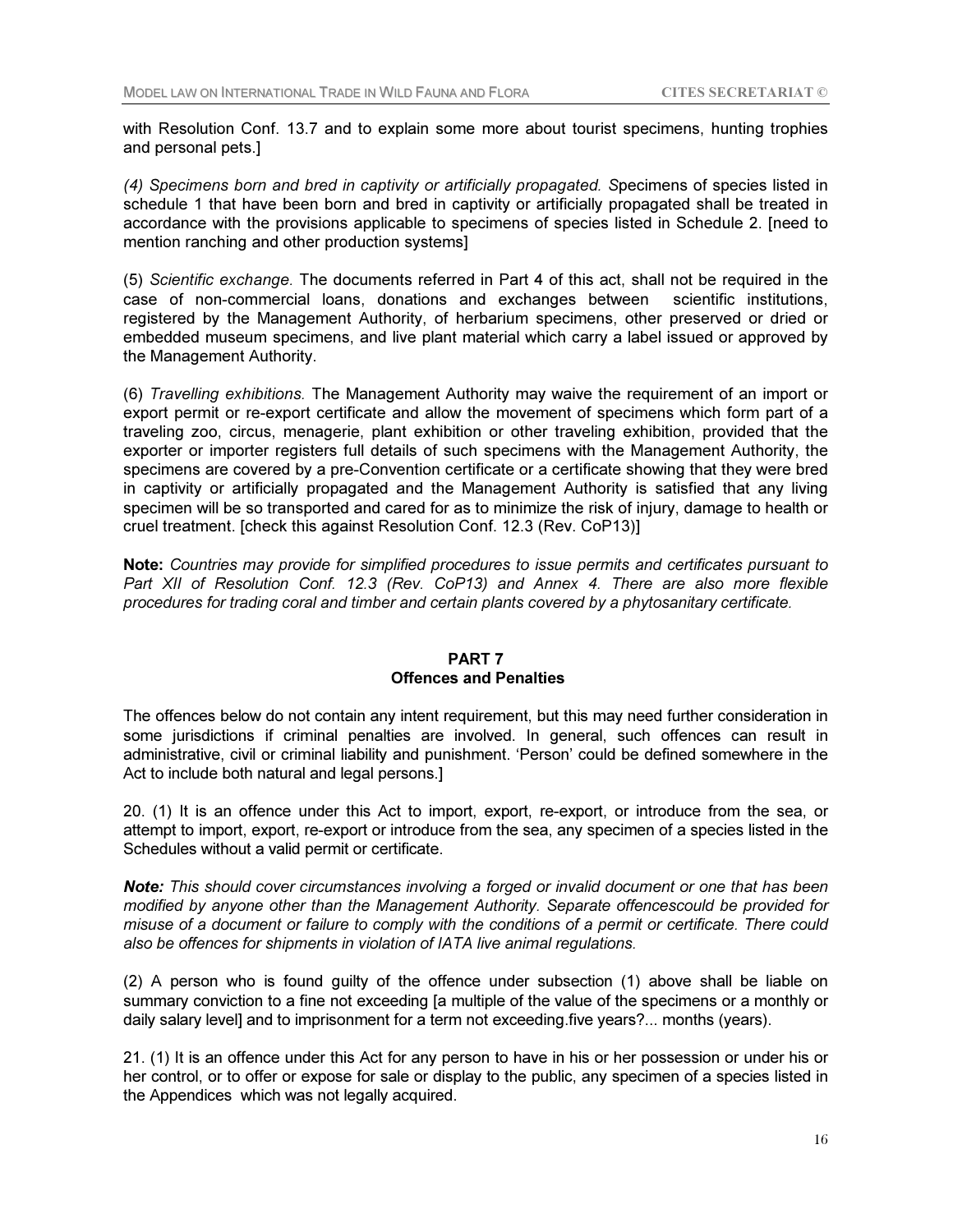with Resolution Conf. 13.7 and to explain some more about tourist specimens, hunting trophies and personal pets.]

*(4) Specimens born and bred in captivity or artificially propagated. S*pecimens of species listed in schedule 1 that have been born and bred in captivity or artificially propagated shall be treated in accordance with the provisions applicable to specimens of species listed in Schedule 2. [need to mention ranching and other production systems]

(5) *Scientific exchange.* The documents referred in Part 4 of this act, shall not be required in the case of non-commercial loans, donations and exchanges between scientific institutions, registered by the Management Authority, of herbarium specimens, other preserved or dried or embedded museum specimens, and live plant material which carry a label issued or approved by the Management Authority.

(6) *Travelling exhibitions.* The Management Authority may waive the requirement of an import or export permit or re-export certificate and allow the movement of specimens which form part of a traveling zoo, circus, menagerie, plant exhibition or other traveling exhibition, provided that the exporter or importer registers full details of such specimens with the Management Authority, the specimens are covered by a pre-Convention certificate or a certificate showing that they were bred in captivity or artificially propagated and the Management Authority is satisfied that any living specimen will be so transported and cared for as to minimize the risk of injury, damage to health or cruel treatment. [check this against Resolution Conf. 12.3 (Rev. CoP13)]

Note: *Countries may provide for simplified procedures to issue permits and certificates pursuant to*  Part XII of Resolution Conf. 12.3 (Rev. CoP13) and Annex 4. There are also more flexible *procedures for trading coral and timber and certain plants covered by a phytosanitary certificate.* 

# PART 7 Offences and Penalties

The offences below do not contain any intent requirement, but this may need further consideration in some jurisdictions if criminal penalties are involved. In general, such offences can result in administrative, civil or criminal liability and punishment. 'Person' could be defined somewhere in the Act to include both natural and legal persons.]

20. (1) It is an offence under this Act to import, export, re-export, or introduce from the sea, or attempt to import, export, re-export or introduce from the sea, any specimen of a species listed in the Schedules without a valid permit or certificate.

Note: *This should cover circumstances involving a forged or invalid document or one that has been modified by anyone other than the Management Authority. Separate offencescould be provided for misuse of a document or failure to comply with the conditions of a permit or certificate. There could also be offences for shipments in violation of IATA live animal regulations.* 

(2) A person who is found guilty of the offence under subsection (1) above shall be liable on summary conviction to a fine not exceeding [a multiple of the value of the specimens or a monthly or daily salary level] and to imprisonment for a term not exceeding.five years?... months (years).

21. (1) It is an offence under this Act for any person to have in his or her possession or under his or her control, or to offer or expose for sale or display to the public, any specimen of a species listed in the Appendices which was not legally acquired.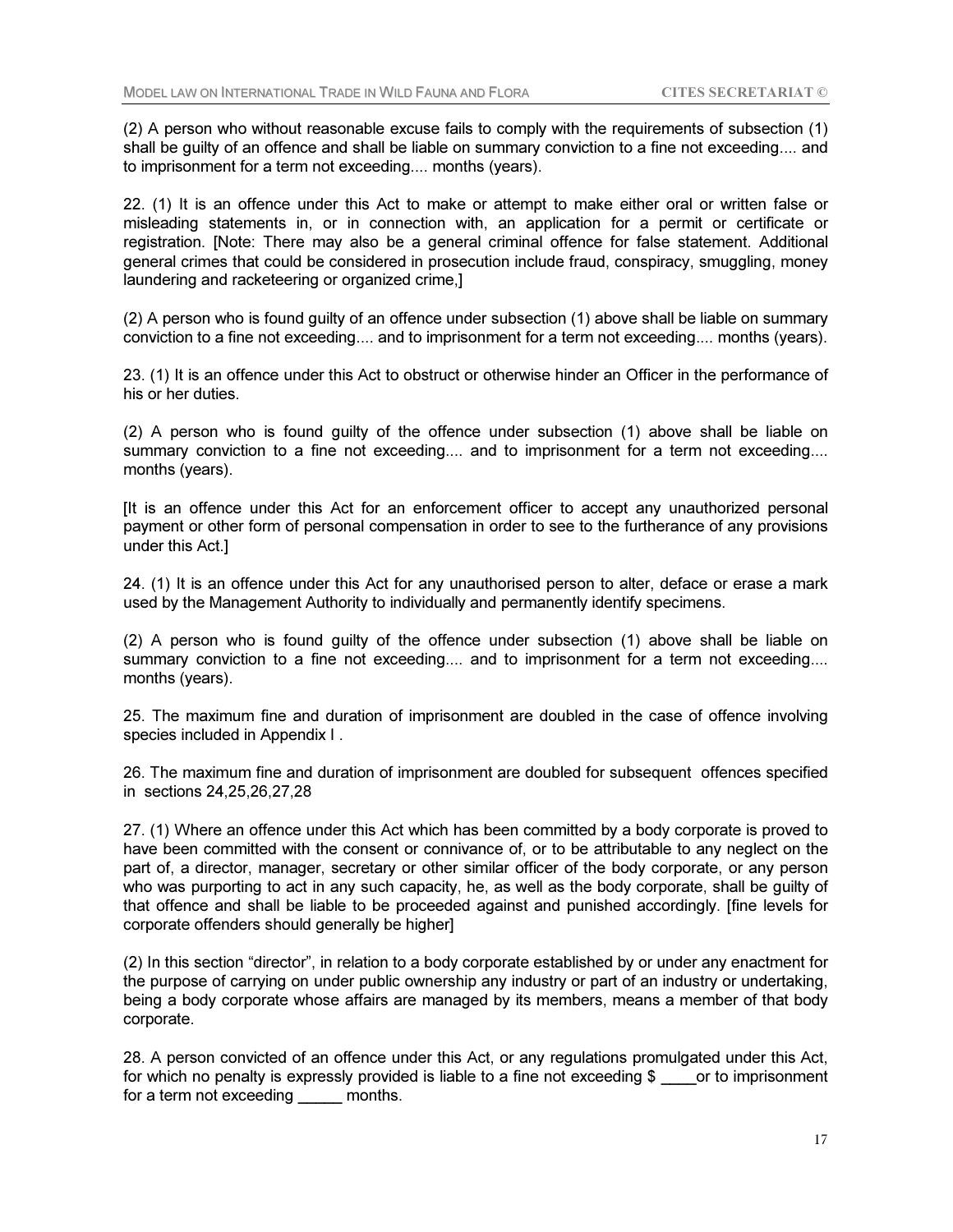(2) A person who without reasonable excuse fails to comply with the requirements of subsection (1) shall be guilty of an offence and shall be liable on summary conviction to a fine not exceeding.... and to imprisonment for a term not exceeding.... months (years).

22. (1) It is an offence under this Act to make or attempt to make either oral or written false or misleading statements in, or in connection with, an application for a permit or certificate or registration. [Note: There may also be a general criminal offence for false statement. Additional general crimes that could be considered in prosecution include fraud, conspiracy, smuggling, money laundering and racketeering or organized crime,]

(2) A person who is found guilty of an offence under subsection (1) above shall be liable on summary conviction to a fine not exceeding.... and to imprisonment for a term not exceeding.... months (years).

23. (1) It is an offence under this Act to obstruct or otherwise hinder an Officer in the performance of his or her duties.

(2) A person who is found guilty of the offence under subsection (1) above shall be liable on summary conviction to a fine not exceeding.... and to imprisonment for a term not exceeding.... months (years).

[It is an offence under this Act for an enforcement officer to accept any unauthorized personal payment or other form of personal compensation in order to see to the furtherance of any provisions under this Act.]

24. (1) It is an offence under this Act for any unauthorised person to alter, deface or erase a mark used by the Management Authority to individually and permanently identify specimens.

(2) A person who is found guilty of the offence under subsection (1) above shall be liable on summary conviction to a fine not exceeding.... and to imprisonment for a term not exceeding.... months (years).

25. The maximum fine and duration of imprisonment are doubled in the case of offence involving species included in Appendix I .

26. The maximum fine and duration of imprisonment are doubled for subsequent offences specified in sections 24,25,26,27,28

27. (1) Where an offence under this Act which has been committed by a body corporate is proved to have been committed with the consent or connivance of, or to be attributable to any neglect on the part of, a director, manager, secretary or other similar officer of the body corporate, or any person who was purporting to act in any such capacity, he, as well as the body corporate, shall be guilty of that offence and shall be liable to be proceeded against and punished accordingly. [fine levels for corporate offenders should generally be higher]

(2) In this section "director", in relation to a body corporate established by or under any enactment for the purpose of carrying on under public ownership any industry or part of an industry or undertaking, being a body corporate whose affairs are managed by its members, means a member of that body corporate.

28. A person convicted of an offence under this Act, or any regulations promulgated under this Act, for which no penalty is expressly provided is liable to a fine not exceeding \$ \_\_\_\_or to imprisonment for a term not exceeding \_\_\_\_\_ months.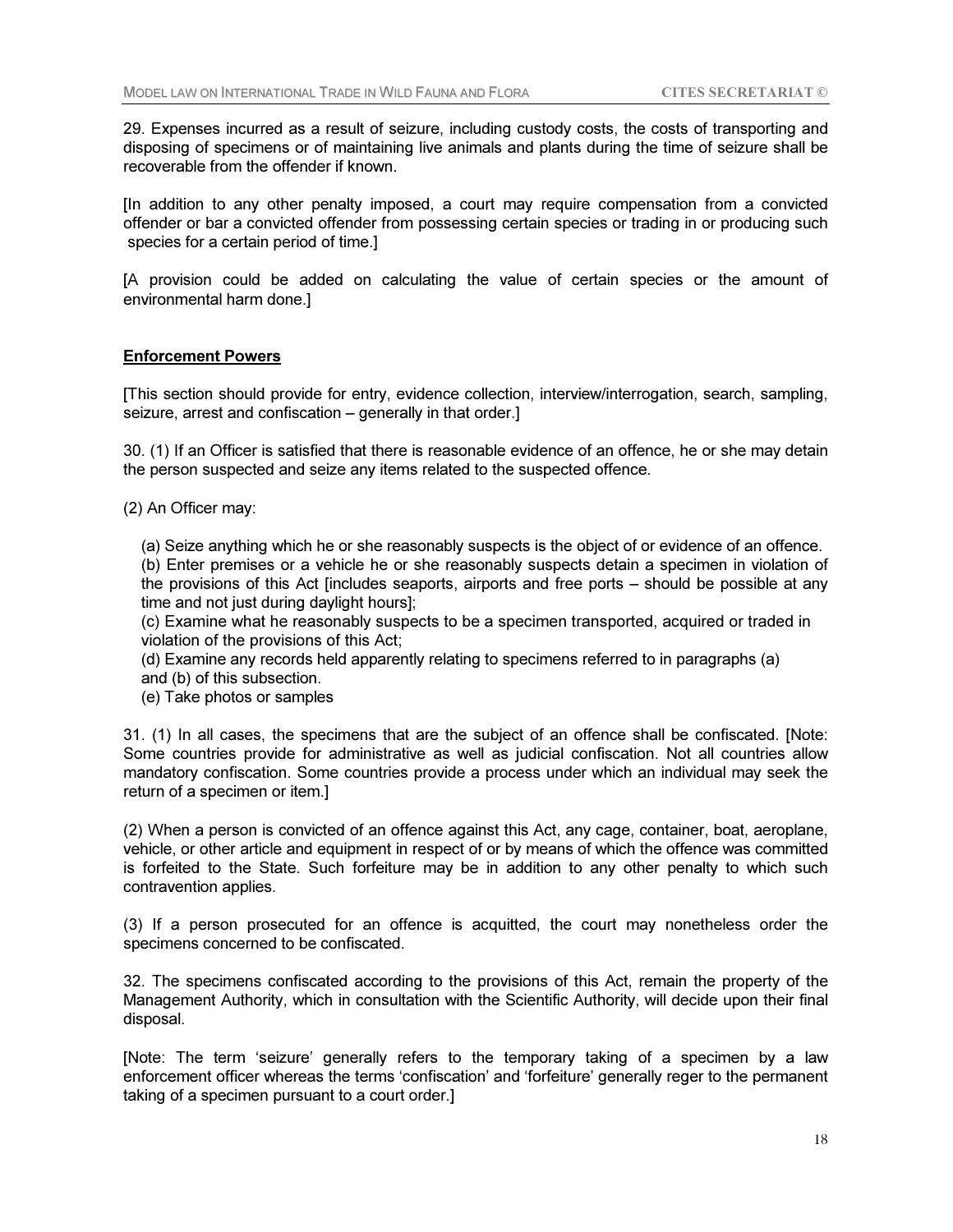29. Expenses incurred as a result of seizure, including custody costs, the costs of transporting and disposing of specimens or of maintaining live animals and plants during the time of seizure shall be recoverable from the offender if known.

[In addition to any other penalty imposed, a court may require compensation from a convicted offender or bar a convicted offender from possessing certain species or trading in or producing such species for a certain period of time.]

[A provision could be added on calculating the value of certain species or the amount of environmental harm done.]

## Enforcement Powers

[This section should provide for entry, evidence collection, interview/interrogation, search, sampling, seizure, arrest and confiscation – generally in that order.]

30. (1) If an Officer is satisfied that there is reasonable evidence of an offence, he or she may detain the person suspected and seize any items related to the suspected offence.

(2) An Officer may:

(a) Seize anything which he or she reasonably suspects is the object of or evidence of an offence. (b) Enter premises or a vehicle he or she reasonably suspects detain a specimen in violation of the provisions of this Act [includes seaports, airports and free ports – should be possible at any time and not just during daylight hours];

(c) Examine what he reasonably suspects to be a specimen transported, acquired or traded in violation of the provisions of this Act;

(d) Examine any records held apparently relating to specimens referred to in paragraphs (a) and (b) of this subsection.

(e) Take photos or samples

31. (1) In all cases, the specimens that are the subject of an offence shall be confiscated. [Note: Some countries provide for administrative as well as judicial confiscation. Not all countries allow mandatory confiscation. Some countries provide a process under which an individual may seek the return of a specimen or item.]

(2) When a person is convicted of an offence against this Act, any cage, container, boat, aeroplane, vehicle, or other article and equipment in respect of or by means of which the offence was committed is forfeited to the State. Such forfeiture may be in addition to any other penalty to which such contravention applies.

(3) If a person prosecuted for an offence is acquitted, the court may nonetheless order the specimens concerned to be confiscated.

32. The specimens confiscated according to the provisions of this Act, remain the property of the Management Authority, which in consultation with the Scientific Authority, will decide upon their final disposal.

[Note: The term 'seizure' generally refers to the temporary taking of a specimen by a law enforcement officer whereas the terms 'confiscation' and 'forfeiture' generally reger to the permanent taking of a specimen pursuant to a court order.]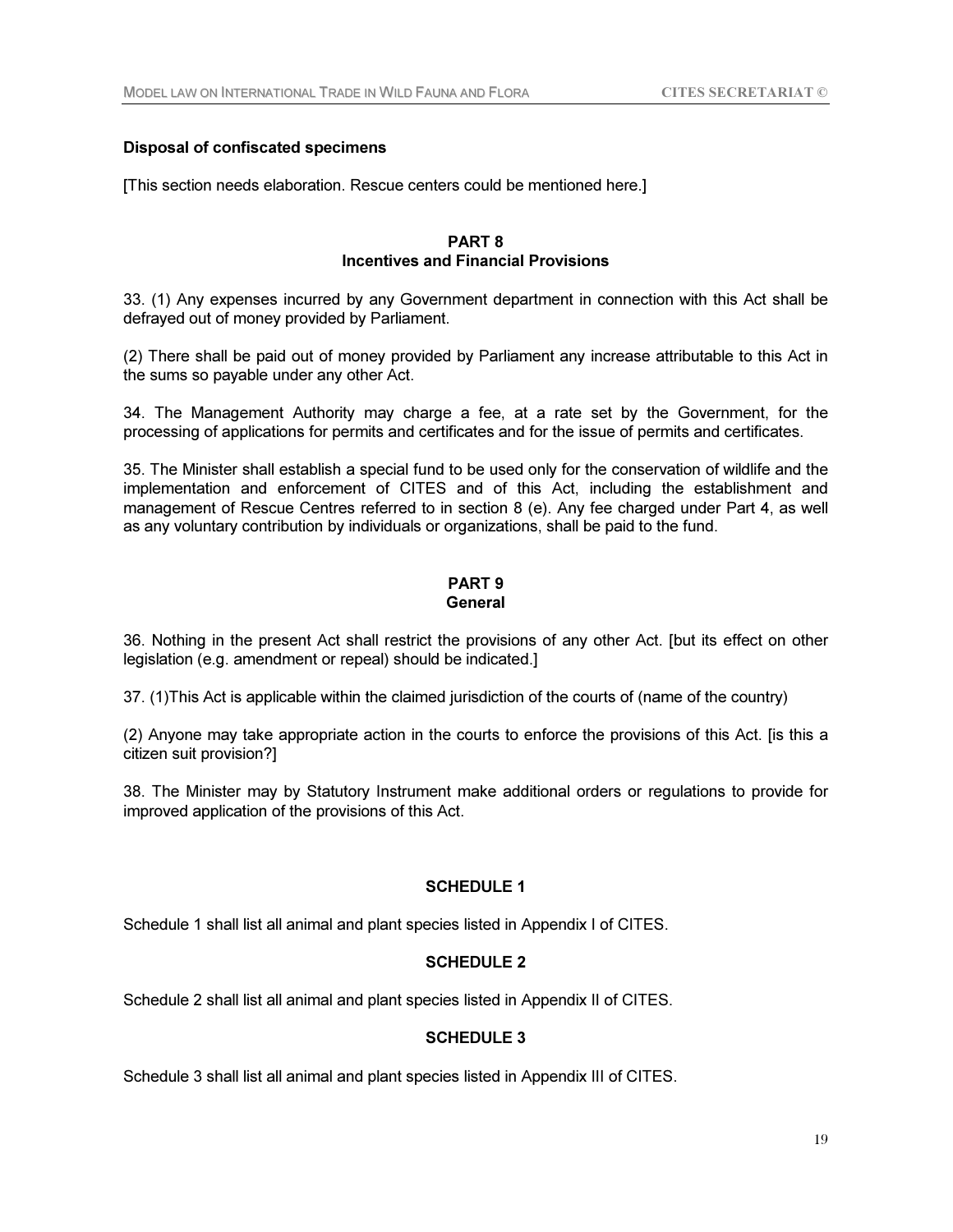# Disposal of confiscated specimens

[This section needs elaboration. Rescue centers could be mentioned here.]

# PART 8 Incentives and Financial Provisions

33. (1) Any expenses incurred by any Government department in connection with this Act shall be defrayed out of money provided by Parliament.

(2) There shall be paid out of money provided by Parliament any increase attributable to this Act in the sums so payable under any other Act.

34. The Management Authority may charge a fee, at a rate set by the Government, for the processing of applications for permits and certificates and for the issue of permits and certificates.

35. The Minister shall establish a special fund to be used only for the conservation of wildlife and the implementation and enforcement of CITES and of this Act, including the establishment and management of Rescue Centres referred to in section 8 (e). Any fee charged under Part 4, as well as any voluntary contribution by individuals or organizations, shall be paid to the fund.

# PART 9 **General**

36. Nothing in the present Act shall restrict the provisions of any other Act. [but its effect on other legislation (e.g. amendment or repeal) should be indicated.]

37. (1)This Act is applicable within the claimed jurisdiction of the courts of (name of the country)

(2) Anyone may take appropriate action in the courts to enforce the provisions of this Act. [is this a citizen suit provision?]

38. The Minister may by Statutory Instrument make additional orders or regulations to provide for improved application of the provisions of this Act.

# SCHEDULE 1

Schedule 1 shall list all animal and plant species listed in Appendix I of CITES.

# SCHEDULE 2

Schedule 2 shall list all animal and plant species listed in Appendix II of CITES.

# SCHEDULE 3

Schedule 3 shall list all animal and plant species listed in Appendix III of CITES.